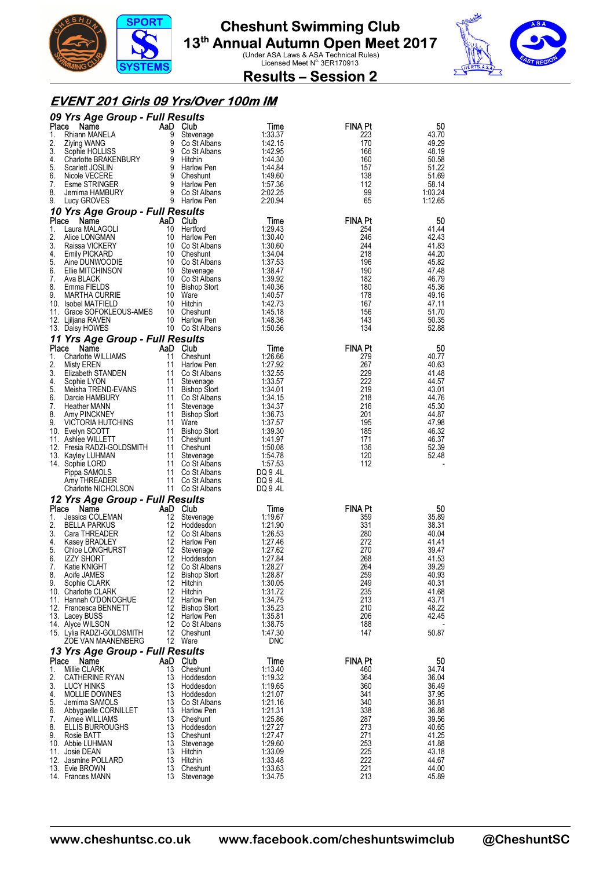



**Results – Session 2** 

#### **EVENT 201 Girls 09 Yrs/Over 100m IM**

|             | 09 Yrs Age Group - Full Results              |                |                                  |                      |                       |                |
|-------------|----------------------------------------------|----------------|----------------------------------|----------------------|-----------------------|----------------|
| Place       | Name                                         | AaD Club       |                                  | Time                 | <b>FINA Pt</b>        | 50             |
| 1.          | Rhiann MANELA                                | 9<br>9         | Stevenage                        | 1:33.37              | 223                   | 43.70          |
| 2.<br>3.    | Ziying WANG<br>Sophie HOLLISS                | 9              | Co St Albans<br>Co St Albans     | 1:42.15<br>1:42.95   | 170<br>166            | 49.29<br>48.19 |
| 4.          | Charlotte BRAKENBURY                         | 9              | Hitchin                          | 1:44.30              | 160                   | 50.58          |
| 5.          | Scarlett JOSLIN                              | 9              | Harlow Pen                       | 1.44.84              | 157                   | 51.22          |
| 6.          | Nicole VECERE                                | 9              | Cheshunt                         | 1.49.60              | 138                   | 51.69          |
| 7.          | Esme STRINGER                                | 9              | Harlow Pen                       | 1:57.36              | 112                   | 58.14          |
| 8.          | Jemima HAMBURY                               |                | 9 Co St Albans                   | 2:02.25              | 99                    | 1:03.24        |
| 9.          | Lucy GROVES                                  |                | 9 Harlow Pen                     | 2:20.94              | 65                    | 1:12.65        |
|             | 10 Yrs Age Group - Full Results              |                |                                  |                      |                       |                |
| Place<br>1. | Name<br>Laura MALAGOLI                       | AaD Club<br>10 | Hertford                         | Time<br>1:29.43      | <b>FINA Pt</b><br>254 | 50<br>41.44    |
| 2.          | Alice LONGMAN                                | 10             | Harlow Pen                       | 1:30.40              | 246                   | 42.43          |
| 3.          | Raissa VICKERY                               | 10             | Co St Albans                     | 1:30.60              | 244                   | 41.83          |
| 4.          | Emily PICKARD                                |                | 10 Cheshunt                      | 1:34.04              | 218                   | 44.20          |
| 5.          | Aine DUNWOODIE                               |                | 10 Co St Albans                  | 1:37.53              | 196                   | 45.82          |
| 6.          | Ellie MITCHINSON                             | 10             | Stevenage                        | 1:38.47              | 190                   | 47.48          |
| 7.<br>8.    | Ava BLACK<br>Emma FIELDS                     | 10<br>10       | Co St Albans                     | 1:39.92<br>1:40.36   | 182<br>180            | 46.79<br>45.36 |
| 9.          | <b>MARTHA CURRIE</b>                         | 10             | <b>Bishop Stort</b><br>Ware      | 1:40.57              | 178                   | 49.16          |
|             | 10. Isobel MATFIELD                          | 10             | Hitchin                          | 1:42.73              | 167                   | 47.11          |
|             | 11. Grace SOFOKLEOUS-AMES                    | 10             | Cheshunt                         | 1:45.18              | 156                   | 51.70          |
|             | 12. Ljiljana RAVEN                           | 10             | <b>Harlow Pen</b>                | 1:48.36              | 143                   | 50.35          |
|             | 13. Daisy HOWES                              |                | 10 Co St Albans                  | 1:50.56              | 134                   | 52.88          |
|             | 11 Yrs Age Group - Full Results              |                |                                  |                      |                       |                |
| Place       | Name                                         | AaD            | Club                             | Time                 | FINA Pt               | 50             |
| 1.          | Charlotte WILLIAMS                           | 11             | Cheshunt                         | 1:26.66              | 279                   | 40.77          |
| 2.<br>3.    | Misty EREN<br>Elizabeth STANDEN              | 11<br>11       | Harlow Pen<br>Co St Albans       | 1:27.92<br>1:32.55   | 267<br>229            | 40.63<br>41.48 |
| 4.          | Sophie LYON                                  | 11             | Stevenage                        | 1:33.57              | 222                   | 44.57          |
| 5.          | Meisha TREND-EVANS                           | 11             | <b>Bishop Stort</b>              | 1:34.01              | 219                   | 43.01          |
| 6.          | Darcie HAMBURY                               | 11             | Co St Albans                     | 1:34.15              | 218                   | 44.76          |
| 7.          | <b>Heather MANN</b>                          | 11             | Stevenage                        | 1:34:37              | 216                   | 45.30          |
| 8.<br>9.    | Amy PINCKNEY                                 | 11             | <b>Bishop Stort</b>              | 1:36.73              | 201<br>195            | 44.87          |
|             | <b>VICTORIA HUTCHINS</b><br>10. Evelyn SCOTT | 11<br>11       | Ware<br><b>Bishop Stort</b>      | 1:37.57<br>1:39.30   | 185                   | 47.98<br>46.32 |
|             | 11. Ashlee WILLETT                           | 11             | Cheshunt                         | 1.41.97              | 171                   | 46.37          |
|             | 12. Fresia RADZI-GOLDSMITH                   | 11             | Cheshunt                         | 1:50.08              | 136                   | 52.39          |
|             | 13. Kayley LUHMAN                            | 11             | Stevenage                        | 1:54.78              | 120                   | 52.48          |
|             | 14. Sophie LORD                              | 11             | Co St Albans                     | 1:57.53              | 112                   |                |
|             | Pippa SAMOLS                                 | 11             | Co St Albans                     | DQ 9 .4L             |                       |                |
|             | Amy THREADER<br>Charlotte NICHOLSON          | 11             | Co St Albans<br>11 Co St Albans  | DQ 9 .4L<br>DQ 9 .4L |                       |                |
|             | 12 Yrs Age Group - Full Results              |                |                                  |                      |                       |                |
| Place       | Name                                         | AaD            | Club                             | Time                 | FINA Pt               | 50             |
| 1.          | Jessica COLEMAN                              | 12             | Stevenage                        | 1:19.67              | 359                   | 35.89          |
| 2.          | <b>BELLA PARKUS</b>                          | 12             | Hoddesdon                        | 1:21.90              | 331                   | 38.31          |
| 3.          | Cara THREADER                                | 12             | Co St Albans                     | 1:26.53              | 280                   | 40.04          |
| 4.          | Kasey BRADLEY                                | 12             | Harlow Pen                       | 1:27.46              | 272                   | 41.41          |
| 5.<br>6.    | Chloe LONGHURST<br><b>IZZY SHORT</b>         | 12<br>12       | Stevenage<br>Hoddesdon           | 1:27.62<br>1:27.84   | 270<br>268            | 39.47<br>41.53 |
| 7.          | Katie KNIGHT                                 | 12             | Co St Albans                     | 1:28.27              | 264                   | 39.29          |
| 8.          | Aoife JAMES                                  |                | 12 Bishop Stort                  | 1:28.87              | 259                   | 40.93          |
| 9.          | Sophie CLARK                                 |                | 12 Hitchin                       | 1:30.05              | 249                   | 40.31          |
|             | 10. Charlotte CLARK                          |                | 12 Hitchin                       | 1:31.72              | 235                   | 41.68          |
|             | 11. Hannah O'DONOGHUE                        |                | 12 Harlow Pen                    | 1:34.75              | 213<br>210            | 43.71<br>48.22 |
|             | 12. Francesca BENNETT<br>13. Lacey BUSS      |                | 12 Bishop Stort<br>12 Harlow Pen | 1:35.23<br>1:35.81   | 206                   | 42.45          |
|             | 14. Alyce WILSON                             |                | 12 Co St Albans                  | 1:38.75              | 188                   |                |
|             | 15. Lylia RADZI-GOLDSMITH                    |                | 12 Cheshunt                      | 1:47.30              | 147                   | 50.87          |
|             | ZOE VAN MAANENBERG                           |                | 12 Ware                          | DNC                  |                       |                |
|             | 13 Yrs Age Group - Full Results              |                |                                  |                      |                       |                |
|             | Place Name                                   | AaD Club       |                                  | Time                 | <b>FINA Pt</b>        | 50             |
| 1.          | Millie CLARK                                 | 13             | Cheshunt                         | 1:13.40              | 460                   | 34.74          |
| 2.<br>3.    | <b>CATHERINE RYAN</b><br>LUCY HINKS          | 13             | Hoddesdon<br>13 Hoddesdon        | 1:19.32<br>1:19.65   | 364<br>360            | 36.04<br>36.49 |
| 4.          | MOLLIE DOWNES                                |                | 13 Hoddesdon                     | 1:21.07              | 341                   | 37.95          |
| 5.          | Jemima SAMOLS                                |                | 13 Co St Albans                  | 1:21.16              | 340                   | 36.81          |
| 6.          | Abbygaelle CORNILLET                         |                | 13 Harlow Pen                    | 1:21.31              | 338                   | 36.88          |
| 7.          | Aimee WILLIAMS                               |                | 13 Cheshunt                      | 1:25.86              | 287                   | 39.56          |
| 8.          | ELLIS BURROUGHS<br>9. Rosie BATT             |                | 13 Hoddesdon<br>13 Cheshunt      | 1:27.27<br>1:27.47   | 273<br>271            | 40.65<br>41.25 |
|             | 10. Abbie LUHMAN                             |                | 13 Stevenage                     | 1:29.60              | 253                   | 41.88          |
|             | 11. Josie DEAN                               |                | 13 Hitchin                       | 1:33.09              | 225                   | 43.18          |
|             | 12. Jasmine POLLARD                          |                | 13 Hitchin                       | 1:33.48              | 222                   | 44.67          |
|             | 13. Evie BROWN                               |                | 13 Cheshunt                      | 1:33.63              | 221                   | 44.00          |
|             | 14. Frances MANN                             |                | 13 Stevenage                     | 1:34.75              | 213                   | 45.89          |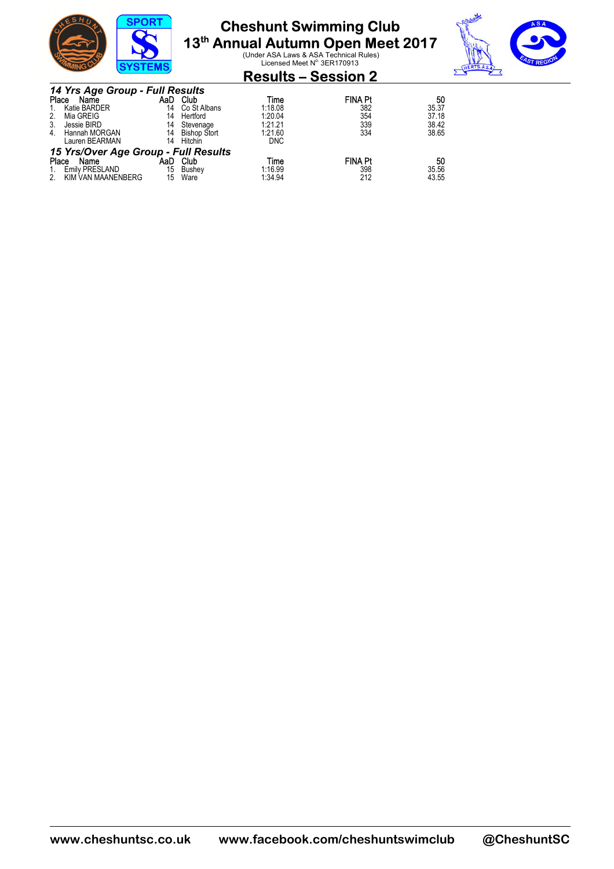

# **Cheshunt Swimming Club**

**13<sup>th</sup> Annual Autumn Open Meet 2017**<br>Under ASA Laws & ASA Technical Rules)<br>Licensed Meet N<sup>o.</sup> 3ER170913



|    |                                 | <b>SYSTEMS</b> |                 |         | Licensed Meet N°3ER1/0913  |       |
|----|---------------------------------|----------------|-----------------|---------|----------------------------|-------|
|    |                                 |                |                 |         | <b>Results – Session 2</b> |       |
|    | 14 Yrs Age Group - Full Results |                |                 |         |                            |       |
|    | Place<br>Name                   | AaD            | Club            | Time    | <b>FINA Pt</b>             | 50    |
|    | 1. Katie BARDER                 |                | 14 Co St Albans | 1:18.08 | 382                        | 35.37 |
| 2. | Mia GREIG                       | 14             | Hertford        | 1:20.04 | 354                        | 37.18 |
|    | Jessie BIRD                     |                | 14 Stevenage    | 1:21.21 | 339                        | 38.42 |

| Hannah MORGAN<br>Lauren BEARMAN | 14<br>14 | <b>Bishop Stort</b><br>Hitchin | 1:21.60<br>DNC                       | 334            | 38.65 |
|---------------------------------|----------|--------------------------------|--------------------------------------|----------------|-------|
|                                 |          |                                |                                      |                |       |
| Place<br>Name                   | AaD      | Club                           | Time                                 | <b>FINA Pt</b> | 50    |
| 1. Emily PRESLAND               | 15       | Bushev                         | 1:16.99                              | 398            | 35.56 |
| KIM VAN MAANENBERG              | 15       | Ware                           | 1.34.94                              | 212            | 43.55 |
|                                 |          |                                | 15 Yrs/Over Age Group - Full Results |                |       |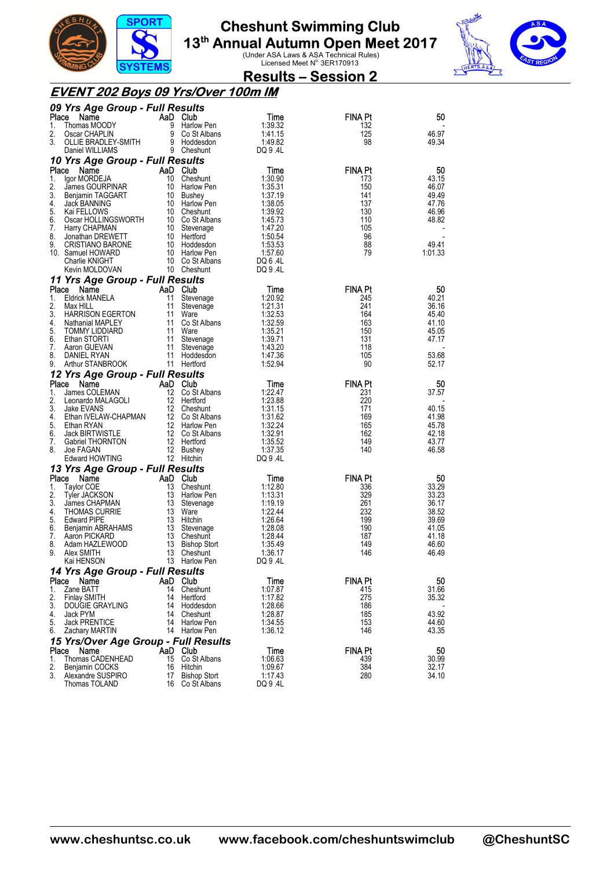



|--|

#### **EVENT 202 Boys 09 Yrs/Over 100m IM**

| Place<br>Name<br>AaD Club<br>Time<br>FINA Pt<br>50<br>Thomas MOODY<br>9<br>1:39.32<br>1.<br>Harlow Pen<br>132<br>2.<br>9<br>1:41.15<br>125<br>46.97<br>Oscar CHAPLIN<br>Co St Albans<br>9 Hoddesdon<br>3.<br>OLLIE BRADLEY-SMITH<br>1:49.82<br>98<br>49.34<br>9 Cheshunt<br>DQ 9.4L<br>Daniel WILLIAMS<br>10 Yrs Age Group - Full Results<br>Place<br>AaD Club<br><b>FINA Pt</b><br>50<br>Name<br>Time<br>10 Cheshunt<br>43.15<br>1.<br>lgor MORDEJA<br>1:30.90<br>173<br>2.<br>10 Harlow Pen<br>1:35.31<br>150<br>46.07<br>James GOURPINAR<br>3.<br>10 Bushey<br>1:37.19<br>141<br>49.49<br>Benjamin TAGGART<br>10 Harlow Pen<br>137<br>4.<br>Jack BANNING<br>1:38.05<br>47.76<br>5.<br>Kai FELLOWS<br>10 Cheshunt<br>1:39.92<br>130<br>46.96<br>Oscar HOLLINGSWORTH<br>10 Co St Albans<br>1:45.73<br>110<br>48.82<br>6.<br>7.<br>Harry CHAPMAN<br>10 Stevenage<br>1:47.20<br>105<br>8.<br>10 Hertford<br>96<br>Jonathan DREWETT<br>1:50.54<br>88<br>10 Hoddesdon<br>1:53.53<br>49.41<br>9.<br><b>CRISTIANO BARONE</b><br>79<br>1:01.33<br>10. Samuel HOWARD<br>10 Harlow Pen<br>1:57.60<br>Charlie KNIGHT<br>10 Co St Albans<br>DQ 6.4L<br>10 Cheshunt<br>DQ 9.4L<br>Kevin MOLDOVAN<br>11 Yrs Age Group - Full Results<br>Place<br>AaD Club<br><b>FINA Pt</b><br>50<br>Name<br>Time<br><b>Eldrick MANELA</b><br>11<br>40.21<br>1.<br>Stevenage<br>1:20.92<br>245<br>2.<br>11<br>1:21.31<br>241<br>36.16<br>Max HILL<br>Stevenage<br>3.<br><b>HARRISON EGERTON</b><br>11<br>Ware<br>1:32.53<br>164<br>45.40<br>11<br>Co St Albans<br>163<br>41.10<br>4.<br>Nathanial MAPLEY<br>1:32.59<br>5.<br>11 Ware<br>1:35.21<br>150<br>45.05<br><b>TOMMY LIDDIARD</b><br>131<br>6.<br>Ethan STORTI<br>11<br>Stevenage<br>1:39.71<br>47.17<br>1:43.20<br>118<br>7.<br>Aaron GUEVAN<br>11<br>Stevenage<br>8.<br>DANIEL RYAN<br>11 Hoddesdon<br>1:47.36<br>105<br>53.68<br>Arthur STANBROOK<br>11 Hertford<br>90<br>9.<br>1:52.94<br>52.17<br>12 Yrs Age Group - Full Results<br><b>FINA Pt</b><br>Place<br>Name<br>AaD Club<br>50<br>Time<br>James COLEMAN<br>12 Co St Albans<br>1.<br>1:22.47<br>231<br>37.57<br>2.<br>12 Hertford<br>1:23.88<br>220<br>Leonardo MALAGOLI<br>3.<br>12 Cheshunt<br>1:31.15<br>171<br>40.15<br>Jake EVANS<br>Ethan IVELAW-CHAPMAN<br>12 Co St Albans<br>169<br>41.98<br>4.<br>1:31.62<br>12 Harlow Pen<br>5.<br>1:32.24<br>165<br>45.78<br>Ethan RYAN<br>12 Co St Albans<br>Jack BIRTWISTLE<br>1:32.91<br>162<br>42.18<br>6.<br>12 Hertford<br>149<br>7.<br>Gabriel THORNTON<br>1:35.52<br>43.77<br>140<br>8.<br>Joe FAGAN<br>12<br>1:37.35<br>46.58<br>Bushey<br>Edward HOWTING<br>12 Hitchin<br>DQ 9.4L<br>13 Yrs Age Group - Full Results<br>Place<br>Name<br>AaD Club<br><b>FINA Pt</b><br>50<br>Time<br>13<br>33.29<br>Taylor COE<br>Cheshunt<br>1:12.80<br>336<br>1.<br>2.<br>13 Harlow Pen<br>1:13.31<br>329<br>33.23<br>Tyler JACKSON<br>3.<br>13 Stevenage<br>1:19.19<br>261<br>36.17<br>James CHAPMAN<br>13 Ware<br>1:22.44<br>232<br>38.52<br>4.<br><b>THOMAS CURRIE</b><br>5.<br>13 Hitchin<br>1:26.64<br>199<br>39.69<br><b>Edward PIPE</b><br>Benjamin ABRAHAMS<br>13 Stevenage<br>190<br>6.<br>41.05<br>1:28.08<br>13<br>187<br>41.18<br>7.<br>Aaron PICKARD<br>Cheshunt<br>1:28.44<br>Adam HAZLEWOOD<br>13 Bishop Stort<br>1:35.49<br>149<br>46.60<br>8.<br>13<br>146<br>9.<br>Alex SMITH<br>46.49<br>Cheshunt<br>1:36.17<br>13<br>Kai HENSON<br><b>Harlow Pen</b><br>DQ 9.4L<br>14 Yrs Age Group - Full Results<br>Place<br>AaD Club<br>Time<br>FINA Pt<br>50<br>Name<br>Zane BATT<br>14 Cheshunt<br>1:07.87<br>31.66<br>1.<br>415<br>2.<br><b>Finlay SMITH</b><br>1:17.82<br>275<br>14<br>Hertford<br>35.32<br>3.<br>Hoddesdon<br>1:28.66<br>186<br>DOUGIE GRAYLING<br>14<br>43.92<br>1:28.87<br>185<br>4.<br>Jack PYM<br>14<br>Cheshunt<br><b>Jack PRENTICE</b><br>1:34.55<br>153<br>44.60<br>5.<br>14 Harlow Pen<br>14 Harlow Pen<br>1:36.12<br>146<br>43.35<br>6.<br>Zachary MARTIN<br>15 Yrs/Over Age Group - Full Results<br>FINA Pt<br>Place<br>Name<br>AaD Club<br>Time<br>50<br>Thomas CADENHEAD<br>15<br>Co St Albans<br>439<br>30.99<br>1.<br>1.06.63<br>2.<br>384<br>16<br>Hitchin<br>1:09.67<br>32.17<br>Benjamin COCKS<br>3.<br><b>Bishop Stort</b><br>1:17.43<br>280<br>34.10<br>Alexandre SUSPIRO<br>17 | 09 Yrs Age Group - Full Results |                 |          |  |
|--------------------------------------------------------------------------------------------------------------------------------------------------------------------------------------------------------------------------------------------------------------------------------------------------------------------------------------------------------------------------------------------------------------------------------------------------------------------------------------------------------------------------------------------------------------------------------------------------------------------------------------------------------------------------------------------------------------------------------------------------------------------------------------------------------------------------------------------------------------------------------------------------------------------------------------------------------------------------------------------------------------------------------------------------------------------------------------------------------------------------------------------------------------------------------------------------------------------------------------------------------------------------------------------------------------------------------------------------------------------------------------------------------------------------------------------------------------------------------------------------------------------------------------------------------------------------------------------------------------------------------------------------------------------------------------------------------------------------------------------------------------------------------------------------------------------------------------------------------------------------------------------------------------------------------------------------------------------------------------------------------------------------------------------------------------------------------------------------------------------------------------------------------------------------------------------------------------------------------------------------------------------------------------------------------------------------------------------------------------------------------------------------------------------------------------------------------------------------------------------------------------------------------------------------------------------------------------------------------------------------------------------------------------------------------------------------------------------------------------------------------------------------------------------------------------------------------------------------------------------------------------------------------------------------------------------------------------------------------------------------------------------------------------------------------------------------------------------------------------------------------------------------------------------------------------------------------------------------------------------------------------------------------------------------------------------------------------------------------------------------------------------------------------------------------------------------------------------------------------------------------------------------------------------------------------------------------------------------------------------------------------------------------------------------------------------------------------------------------------------------------------------------------------------------------------------------------------------------------------------------------------------------------------------------------------------------------------------------------------------------------------------------------------------------------------------------------------------------------------------------------------------------------------------------------------------------------------------------------------------------------------|---------------------------------|-----------------|----------|--|
|                                                                                                                                                                                                                                                                                                                                                                                                                                                                                                                                                                                                                                                                                                                                                                                                                                                                                                                                                                                                                                                                                                                                                                                                                                                                                                                                                                                                                                                                                                                                                                                                                                                                                                                                                                                                                                                                                                                                                                                                                                                                                                                                                                                                                                                                                                                                                                                                                                                                                                                                                                                                                                                                                                                                                                                                                                                                                                                                                                                                                                                                                                                                                                                                                                                                                                                                                                                                                                                                                                                                                                                                                                                                                                                                                                                                                                                                                                                                                                                                                                                                                                                                                                                                                                                              |                                 |                 |          |  |
|                                                                                                                                                                                                                                                                                                                                                                                                                                                                                                                                                                                                                                                                                                                                                                                                                                                                                                                                                                                                                                                                                                                                                                                                                                                                                                                                                                                                                                                                                                                                                                                                                                                                                                                                                                                                                                                                                                                                                                                                                                                                                                                                                                                                                                                                                                                                                                                                                                                                                                                                                                                                                                                                                                                                                                                                                                                                                                                                                                                                                                                                                                                                                                                                                                                                                                                                                                                                                                                                                                                                                                                                                                                                                                                                                                                                                                                                                                                                                                                                                                                                                                                                                                                                                                                              |                                 |                 |          |  |
|                                                                                                                                                                                                                                                                                                                                                                                                                                                                                                                                                                                                                                                                                                                                                                                                                                                                                                                                                                                                                                                                                                                                                                                                                                                                                                                                                                                                                                                                                                                                                                                                                                                                                                                                                                                                                                                                                                                                                                                                                                                                                                                                                                                                                                                                                                                                                                                                                                                                                                                                                                                                                                                                                                                                                                                                                                                                                                                                                                                                                                                                                                                                                                                                                                                                                                                                                                                                                                                                                                                                                                                                                                                                                                                                                                                                                                                                                                                                                                                                                                                                                                                                                                                                                                                              |                                 |                 |          |  |
|                                                                                                                                                                                                                                                                                                                                                                                                                                                                                                                                                                                                                                                                                                                                                                                                                                                                                                                                                                                                                                                                                                                                                                                                                                                                                                                                                                                                                                                                                                                                                                                                                                                                                                                                                                                                                                                                                                                                                                                                                                                                                                                                                                                                                                                                                                                                                                                                                                                                                                                                                                                                                                                                                                                                                                                                                                                                                                                                                                                                                                                                                                                                                                                                                                                                                                                                                                                                                                                                                                                                                                                                                                                                                                                                                                                                                                                                                                                                                                                                                                                                                                                                                                                                                                                              |                                 |                 |          |  |
|                                                                                                                                                                                                                                                                                                                                                                                                                                                                                                                                                                                                                                                                                                                                                                                                                                                                                                                                                                                                                                                                                                                                                                                                                                                                                                                                                                                                                                                                                                                                                                                                                                                                                                                                                                                                                                                                                                                                                                                                                                                                                                                                                                                                                                                                                                                                                                                                                                                                                                                                                                                                                                                                                                                                                                                                                                                                                                                                                                                                                                                                                                                                                                                                                                                                                                                                                                                                                                                                                                                                                                                                                                                                                                                                                                                                                                                                                                                                                                                                                                                                                                                                                                                                                                                              |                                 |                 |          |  |
|                                                                                                                                                                                                                                                                                                                                                                                                                                                                                                                                                                                                                                                                                                                                                                                                                                                                                                                                                                                                                                                                                                                                                                                                                                                                                                                                                                                                                                                                                                                                                                                                                                                                                                                                                                                                                                                                                                                                                                                                                                                                                                                                                                                                                                                                                                                                                                                                                                                                                                                                                                                                                                                                                                                                                                                                                                                                                                                                                                                                                                                                                                                                                                                                                                                                                                                                                                                                                                                                                                                                                                                                                                                                                                                                                                                                                                                                                                                                                                                                                                                                                                                                                                                                                                                              |                                 |                 |          |  |
|                                                                                                                                                                                                                                                                                                                                                                                                                                                                                                                                                                                                                                                                                                                                                                                                                                                                                                                                                                                                                                                                                                                                                                                                                                                                                                                                                                                                                                                                                                                                                                                                                                                                                                                                                                                                                                                                                                                                                                                                                                                                                                                                                                                                                                                                                                                                                                                                                                                                                                                                                                                                                                                                                                                                                                                                                                                                                                                                                                                                                                                                                                                                                                                                                                                                                                                                                                                                                                                                                                                                                                                                                                                                                                                                                                                                                                                                                                                                                                                                                                                                                                                                                                                                                                                              |                                 |                 |          |  |
|                                                                                                                                                                                                                                                                                                                                                                                                                                                                                                                                                                                                                                                                                                                                                                                                                                                                                                                                                                                                                                                                                                                                                                                                                                                                                                                                                                                                                                                                                                                                                                                                                                                                                                                                                                                                                                                                                                                                                                                                                                                                                                                                                                                                                                                                                                                                                                                                                                                                                                                                                                                                                                                                                                                                                                                                                                                                                                                                                                                                                                                                                                                                                                                                                                                                                                                                                                                                                                                                                                                                                                                                                                                                                                                                                                                                                                                                                                                                                                                                                                                                                                                                                                                                                                                              |                                 |                 |          |  |
|                                                                                                                                                                                                                                                                                                                                                                                                                                                                                                                                                                                                                                                                                                                                                                                                                                                                                                                                                                                                                                                                                                                                                                                                                                                                                                                                                                                                                                                                                                                                                                                                                                                                                                                                                                                                                                                                                                                                                                                                                                                                                                                                                                                                                                                                                                                                                                                                                                                                                                                                                                                                                                                                                                                                                                                                                                                                                                                                                                                                                                                                                                                                                                                                                                                                                                                                                                                                                                                                                                                                                                                                                                                                                                                                                                                                                                                                                                                                                                                                                                                                                                                                                                                                                                                              |                                 |                 |          |  |
|                                                                                                                                                                                                                                                                                                                                                                                                                                                                                                                                                                                                                                                                                                                                                                                                                                                                                                                                                                                                                                                                                                                                                                                                                                                                                                                                                                                                                                                                                                                                                                                                                                                                                                                                                                                                                                                                                                                                                                                                                                                                                                                                                                                                                                                                                                                                                                                                                                                                                                                                                                                                                                                                                                                                                                                                                                                                                                                                                                                                                                                                                                                                                                                                                                                                                                                                                                                                                                                                                                                                                                                                                                                                                                                                                                                                                                                                                                                                                                                                                                                                                                                                                                                                                                                              |                                 |                 |          |  |
|                                                                                                                                                                                                                                                                                                                                                                                                                                                                                                                                                                                                                                                                                                                                                                                                                                                                                                                                                                                                                                                                                                                                                                                                                                                                                                                                                                                                                                                                                                                                                                                                                                                                                                                                                                                                                                                                                                                                                                                                                                                                                                                                                                                                                                                                                                                                                                                                                                                                                                                                                                                                                                                                                                                                                                                                                                                                                                                                                                                                                                                                                                                                                                                                                                                                                                                                                                                                                                                                                                                                                                                                                                                                                                                                                                                                                                                                                                                                                                                                                                                                                                                                                                                                                                                              |                                 |                 |          |  |
|                                                                                                                                                                                                                                                                                                                                                                                                                                                                                                                                                                                                                                                                                                                                                                                                                                                                                                                                                                                                                                                                                                                                                                                                                                                                                                                                                                                                                                                                                                                                                                                                                                                                                                                                                                                                                                                                                                                                                                                                                                                                                                                                                                                                                                                                                                                                                                                                                                                                                                                                                                                                                                                                                                                                                                                                                                                                                                                                                                                                                                                                                                                                                                                                                                                                                                                                                                                                                                                                                                                                                                                                                                                                                                                                                                                                                                                                                                                                                                                                                                                                                                                                                                                                                                                              |                                 |                 |          |  |
|                                                                                                                                                                                                                                                                                                                                                                                                                                                                                                                                                                                                                                                                                                                                                                                                                                                                                                                                                                                                                                                                                                                                                                                                                                                                                                                                                                                                                                                                                                                                                                                                                                                                                                                                                                                                                                                                                                                                                                                                                                                                                                                                                                                                                                                                                                                                                                                                                                                                                                                                                                                                                                                                                                                                                                                                                                                                                                                                                                                                                                                                                                                                                                                                                                                                                                                                                                                                                                                                                                                                                                                                                                                                                                                                                                                                                                                                                                                                                                                                                                                                                                                                                                                                                                                              |                                 |                 |          |  |
|                                                                                                                                                                                                                                                                                                                                                                                                                                                                                                                                                                                                                                                                                                                                                                                                                                                                                                                                                                                                                                                                                                                                                                                                                                                                                                                                                                                                                                                                                                                                                                                                                                                                                                                                                                                                                                                                                                                                                                                                                                                                                                                                                                                                                                                                                                                                                                                                                                                                                                                                                                                                                                                                                                                                                                                                                                                                                                                                                                                                                                                                                                                                                                                                                                                                                                                                                                                                                                                                                                                                                                                                                                                                                                                                                                                                                                                                                                                                                                                                                                                                                                                                                                                                                                                              |                                 |                 |          |  |
|                                                                                                                                                                                                                                                                                                                                                                                                                                                                                                                                                                                                                                                                                                                                                                                                                                                                                                                                                                                                                                                                                                                                                                                                                                                                                                                                                                                                                                                                                                                                                                                                                                                                                                                                                                                                                                                                                                                                                                                                                                                                                                                                                                                                                                                                                                                                                                                                                                                                                                                                                                                                                                                                                                                                                                                                                                                                                                                                                                                                                                                                                                                                                                                                                                                                                                                                                                                                                                                                                                                                                                                                                                                                                                                                                                                                                                                                                                                                                                                                                                                                                                                                                                                                                                                              |                                 |                 |          |  |
|                                                                                                                                                                                                                                                                                                                                                                                                                                                                                                                                                                                                                                                                                                                                                                                                                                                                                                                                                                                                                                                                                                                                                                                                                                                                                                                                                                                                                                                                                                                                                                                                                                                                                                                                                                                                                                                                                                                                                                                                                                                                                                                                                                                                                                                                                                                                                                                                                                                                                                                                                                                                                                                                                                                                                                                                                                                                                                                                                                                                                                                                                                                                                                                                                                                                                                                                                                                                                                                                                                                                                                                                                                                                                                                                                                                                                                                                                                                                                                                                                                                                                                                                                                                                                                                              |                                 |                 |          |  |
|                                                                                                                                                                                                                                                                                                                                                                                                                                                                                                                                                                                                                                                                                                                                                                                                                                                                                                                                                                                                                                                                                                                                                                                                                                                                                                                                                                                                                                                                                                                                                                                                                                                                                                                                                                                                                                                                                                                                                                                                                                                                                                                                                                                                                                                                                                                                                                                                                                                                                                                                                                                                                                                                                                                                                                                                                                                                                                                                                                                                                                                                                                                                                                                                                                                                                                                                                                                                                                                                                                                                                                                                                                                                                                                                                                                                                                                                                                                                                                                                                                                                                                                                                                                                                                                              |                                 |                 |          |  |
|                                                                                                                                                                                                                                                                                                                                                                                                                                                                                                                                                                                                                                                                                                                                                                                                                                                                                                                                                                                                                                                                                                                                                                                                                                                                                                                                                                                                                                                                                                                                                                                                                                                                                                                                                                                                                                                                                                                                                                                                                                                                                                                                                                                                                                                                                                                                                                                                                                                                                                                                                                                                                                                                                                                                                                                                                                                                                                                                                                                                                                                                                                                                                                                                                                                                                                                                                                                                                                                                                                                                                                                                                                                                                                                                                                                                                                                                                                                                                                                                                                                                                                                                                                                                                                                              |                                 |                 |          |  |
|                                                                                                                                                                                                                                                                                                                                                                                                                                                                                                                                                                                                                                                                                                                                                                                                                                                                                                                                                                                                                                                                                                                                                                                                                                                                                                                                                                                                                                                                                                                                                                                                                                                                                                                                                                                                                                                                                                                                                                                                                                                                                                                                                                                                                                                                                                                                                                                                                                                                                                                                                                                                                                                                                                                                                                                                                                                                                                                                                                                                                                                                                                                                                                                                                                                                                                                                                                                                                                                                                                                                                                                                                                                                                                                                                                                                                                                                                                                                                                                                                                                                                                                                                                                                                                                              |                                 |                 |          |  |
|                                                                                                                                                                                                                                                                                                                                                                                                                                                                                                                                                                                                                                                                                                                                                                                                                                                                                                                                                                                                                                                                                                                                                                                                                                                                                                                                                                                                                                                                                                                                                                                                                                                                                                                                                                                                                                                                                                                                                                                                                                                                                                                                                                                                                                                                                                                                                                                                                                                                                                                                                                                                                                                                                                                                                                                                                                                                                                                                                                                                                                                                                                                                                                                                                                                                                                                                                                                                                                                                                                                                                                                                                                                                                                                                                                                                                                                                                                                                                                                                                                                                                                                                                                                                                                                              |                                 |                 |          |  |
|                                                                                                                                                                                                                                                                                                                                                                                                                                                                                                                                                                                                                                                                                                                                                                                                                                                                                                                                                                                                                                                                                                                                                                                                                                                                                                                                                                                                                                                                                                                                                                                                                                                                                                                                                                                                                                                                                                                                                                                                                                                                                                                                                                                                                                                                                                                                                                                                                                                                                                                                                                                                                                                                                                                                                                                                                                                                                                                                                                                                                                                                                                                                                                                                                                                                                                                                                                                                                                                                                                                                                                                                                                                                                                                                                                                                                                                                                                                                                                                                                                                                                                                                                                                                                                                              |                                 |                 |          |  |
|                                                                                                                                                                                                                                                                                                                                                                                                                                                                                                                                                                                                                                                                                                                                                                                                                                                                                                                                                                                                                                                                                                                                                                                                                                                                                                                                                                                                                                                                                                                                                                                                                                                                                                                                                                                                                                                                                                                                                                                                                                                                                                                                                                                                                                                                                                                                                                                                                                                                                                                                                                                                                                                                                                                                                                                                                                                                                                                                                                                                                                                                                                                                                                                                                                                                                                                                                                                                                                                                                                                                                                                                                                                                                                                                                                                                                                                                                                                                                                                                                                                                                                                                                                                                                                                              |                                 |                 |          |  |
|                                                                                                                                                                                                                                                                                                                                                                                                                                                                                                                                                                                                                                                                                                                                                                                                                                                                                                                                                                                                                                                                                                                                                                                                                                                                                                                                                                                                                                                                                                                                                                                                                                                                                                                                                                                                                                                                                                                                                                                                                                                                                                                                                                                                                                                                                                                                                                                                                                                                                                                                                                                                                                                                                                                                                                                                                                                                                                                                                                                                                                                                                                                                                                                                                                                                                                                                                                                                                                                                                                                                                                                                                                                                                                                                                                                                                                                                                                                                                                                                                                                                                                                                                                                                                                                              |                                 |                 |          |  |
|                                                                                                                                                                                                                                                                                                                                                                                                                                                                                                                                                                                                                                                                                                                                                                                                                                                                                                                                                                                                                                                                                                                                                                                                                                                                                                                                                                                                                                                                                                                                                                                                                                                                                                                                                                                                                                                                                                                                                                                                                                                                                                                                                                                                                                                                                                                                                                                                                                                                                                                                                                                                                                                                                                                                                                                                                                                                                                                                                                                                                                                                                                                                                                                                                                                                                                                                                                                                                                                                                                                                                                                                                                                                                                                                                                                                                                                                                                                                                                                                                                                                                                                                                                                                                                                              |                                 |                 |          |  |
|                                                                                                                                                                                                                                                                                                                                                                                                                                                                                                                                                                                                                                                                                                                                                                                                                                                                                                                                                                                                                                                                                                                                                                                                                                                                                                                                                                                                                                                                                                                                                                                                                                                                                                                                                                                                                                                                                                                                                                                                                                                                                                                                                                                                                                                                                                                                                                                                                                                                                                                                                                                                                                                                                                                                                                                                                                                                                                                                                                                                                                                                                                                                                                                                                                                                                                                                                                                                                                                                                                                                                                                                                                                                                                                                                                                                                                                                                                                                                                                                                                                                                                                                                                                                                                                              |                                 |                 |          |  |
|                                                                                                                                                                                                                                                                                                                                                                                                                                                                                                                                                                                                                                                                                                                                                                                                                                                                                                                                                                                                                                                                                                                                                                                                                                                                                                                                                                                                                                                                                                                                                                                                                                                                                                                                                                                                                                                                                                                                                                                                                                                                                                                                                                                                                                                                                                                                                                                                                                                                                                                                                                                                                                                                                                                                                                                                                                                                                                                                                                                                                                                                                                                                                                                                                                                                                                                                                                                                                                                                                                                                                                                                                                                                                                                                                                                                                                                                                                                                                                                                                                                                                                                                                                                                                                                              |                                 |                 |          |  |
|                                                                                                                                                                                                                                                                                                                                                                                                                                                                                                                                                                                                                                                                                                                                                                                                                                                                                                                                                                                                                                                                                                                                                                                                                                                                                                                                                                                                                                                                                                                                                                                                                                                                                                                                                                                                                                                                                                                                                                                                                                                                                                                                                                                                                                                                                                                                                                                                                                                                                                                                                                                                                                                                                                                                                                                                                                                                                                                                                                                                                                                                                                                                                                                                                                                                                                                                                                                                                                                                                                                                                                                                                                                                                                                                                                                                                                                                                                                                                                                                                                                                                                                                                                                                                                                              |                                 |                 |          |  |
|                                                                                                                                                                                                                                                                                                                                                                                                                                                                                                                                                                                                                                                                                                                                                                                                                                                                                                                                                                                                                                                                                                                                                                                                                                                                                                                                                                                                                                                                                                                                                                                                                                                                                                                                                                                                                                                                                                                                                                                                                                                                                                                                                                                                                                                                                                                                                                                                                                                                                                                                                                                                                                                                                                                                                                                                                                                                                                                                                                                                                                                                                                                                                                                                                                                                                                                                                                                                                                                                                                                                                                                                                                                                                                                                                                                                                                                                                                                                                                                                                                                                                                                                                                                                                                                              |                                 |                 |          |  |
|                                                                                                                                                                                                                                                                                                                                                                                                                                                                                                                                                                                                                                                                                                                                                                                                                                                                                                                                                                                                                                                                                                                                                                                                                                                                                                                                                                                                                                                                                                                                                                                                                                                                                                                                                                                                                                                                                                                                                                                                                                                                                                                                                                                                                                                                                                                                                                                                                                                                                                                                                                                                                                                                                                                                                                                                                                                                                                                                                                                                                                                                                                                                                                                                                                                                                                                                                                                                                                                                                                                                                                                                                                                                                                                                                                                                                                                                                                                                                                                                                                                                                                                                                                                                                                                              |                                 |                 |          |  |
|                                                                                                                                                                                                                                                                                                                                                                                                                                                                                                                                                                                                                                                                                                                                                                                                                                                                                                                                                                                                                                                                                                                                                                                                                                                                                                                                                                                                                                                                                                                                                                                                                                                                                                                                                                                                                                                                                                                                                                                                                                                                                                                                                                                                                                                                                                                                                                                                                                                                                                                                                                                                                                                                                                                                                                                                                                                                                                                                                                                                                                                                                                                                                                                                                                                                                                                                                                                                                                                                                                                                                                                                                                                                                                                                                                                                                                                                                                                                                                                                                                                                                                                                                                                                                                                              |                                 |                 |          |  |
|                                                                                                                                                                                                                                                                                                                                                                                                                                                                                                                                                                                                                                                                                                                                                                                                                                                                                                                                                                                                                                                                                                                                                                                                                                                                                                                                                                                                                                                                                                                                                                                                                                                                                                                                                                                                                                                                                                                                                                                                                                                                                                                                                                                                                                                                                                                                                                                                                                                                                                                                                                                                                                                                                                                                                                                                                                                                                                                                                                                                                                                                                                                                                                                                                                                                                                                                                                                                                                                                                                                                                                                                                                                                                                                                                                                                                                                                                                                                                                                                                                                                                                                                                                                                                                                              |                                 |                 |          |  |
|                                                                                                                                                                                                                                                                                                                                                                                                                                                                                                                                                                                                                                                                                                                                                                                                                                                                                                                                                                                                                                                                                                                                                                                                                                                                                                                                                                                                                                                                                                                                                                                                                                                                                                                                                                                                                                                                                                                                                                                                                                                                                                                                                                                                                                                                                                                                                                                                                                                                                                                                                                                                                                                                                                                                                                                                                                                                                                                                                                                                                                                                                                                                                                                                                                                                                                                                                                                                                                                                                                                                                                                                                                                                                                                                                                                                                                                                                                                                                                                                                                                                                                                                                                                                                                                              |                                 |                 |          |  |
|                                                                                                                                                                                                                                                                                                                                                                                                                                                                                                                                                                                                                                                                                                                                                                                                                                                                                                                                                                                                                                                                                                                                                                                                                                                                                                                                                                                                                                                                                                                                                                                                                                                                                                                                                                                                                                                                                                                                                                                                                                                                                                                                                                                                                                                                                                                                                                                                                                                                                                                                                                                                                                                                                                                                                                                                                                                                                                                                                                                                                                                                                                                                                                                                                                                                                                                                                                                                                                                                                                                                                                                                                                                                                                                                                                                                                                                                                                                                                                                                                                                                                                                                                                                                                                                              |                                 |                 |          |  |
|                                                                                                                                                                                                                                                                                                                                                                                                                                                                                                                                                                                                                                                                                                                                                                                                                                                                                                                                                                                                                                                                                                                                                                                                                                                                                                                                                                                                                                                                                                                                                                                                                                                                                                                                                                                                                                                                                                                                                                                                                                                                                                                                                                                                                                                                                                                                                                                                                                                                                                                                                                                                                                                                                                                                                                                                                                                                                                                                                                                                                                                                                                                                                                                                                                                                                                                                                                                                                                                                                                                                                                                                                                                                                                                                                                                                                                                                                                                                                                                                                                                                                                                                                                                                                                                              |                                 |                 |          |  |
|                                                                                                                                                                                                                                                                                                                                                                                                                                                                                                                                                                                                                                                                                                                                                                                                                                                                                                                                                                                                                                                                                                                                                                                                                                                                                                                                                                                                                                                                                                                                                                                                                                                                                                                                                                                                                                                                                                                                                                                                                                                                                                                                                                                                                                                                                                                                                                                                                                                                                                                                                                                                                                                                                                                                                                                                                                                                                                                                                                                                                                                                                                                                                                                                                                                                                                                                                                                                                                                                                                                                                                                                                                                                                                                                                                                                                                                                                                                                                                                                                                                                                                                                                                                                                                                              |                                 |                 |          |  |
|                                                                                                                                                                                                                                                                                                                                                                                                                                                                                                                                                                                                                                                                                                                                                                                                                                                                                                                                                                                                                                                                                                                                                                                                                                                                                                                                                                                                                                                                                                                                                                                                                                                                                                                                                                                                                                                                                                                                                                                                                                                                                                                                                                                                                                                                                                                                                                                                                                                                                                                                                                                                                                                                                                                                                                                                                                                                                                                                                                                                                                                                                                                                                                                                                                                                                                                                                                                                                                                                                                                                                                                                                                                                                                                                                                                                                                                                                                                                                                                                                                                                                                                                                                                                                                                              |                                 |                 |          |  |
|                                                                                                                                                                                                                                                                                                                                                                                                                                                                                                                                                                                                                                                                                                                                                                                                                                                                                                                                                                                                                                                                                                                                                                                                                                                                                                                                                                                                                                                                                                                                                                                                                                                                                                                                                                                                                                                                                                                                                                                                                                                                                                                                                                                                                                                                                                                                                                                                                                                                                                                                                                                                                                                                                                                                                                                                                                                                                                                                                                                                                                                                                                                                                                                                                                                                                                                                                                                                                                                                                                                                                                                                                                                                                                                                                                                                                                                                                                                                                                                                                                                                                                                                                                                                                                                              |                                 |                 |          |  |
|                                                                                                                                                                                                                                                                                                                                                                                                                                                                                                                                                                                                                                                                                                                                                                                                                                                                                                                                                                                                                                                                                                                                                                                                                                                                                                                                                                                                                                                                                                                                                                                                                                                                                                                                                                                                                                                                                                                                                                                                                                                                                                                                                                                                                                                                                                                                                                                                                                                                                                                                                                                                                                                                                                                                                                                                                                                                                                                                                                                                                                                                                                                                                                                                                                                                                                                                                                                                                                                                                                                                                                                                                                                                                                                                                                                                                                                                                                                                                                                                                                                                                                                                                                                                                                                              |                                 |                 |          |  |
|                                                                                                                                                                                                                                                                                                                                                                                                                                                                                                                                                                                                                                                                                                                                                                                                                                                                                                                                                                                                                                                                                                                                                                                                                                                                                                                                                                                                                                                                                                                                                                                                                                                                                                                                                                                                                                                                                                                                                                                                                                                                                                                                                                                                                                                                                                                                                                                                                                                                                                                                                                                                                                                                                                                                                                                                                                                                                                                                                                                                                                                                                                                                                                                                                                                                                                                                                                                                                                                                                                                                                                                                                                                                                                                                                                                                                                                                                                                                                                                                                                                                                                                                                                                                                                                              |                                 |                 |          |  |
|                                                                                                                                                                                                                                                                                                                                                                                                                                                                                                                                                                                                                                                                                                                                                                                                                                                                                                                                                                                                                                                                                                                                                                                                                                                                                                                                                                                                                                                                                                                                                                                                                                                                                                                                                                                                                                                                                                                                                                                                                                                                                                                                                                                                                                                                                                                                                                                                                                                                                                                                                                                                                                                                                                                                                                                                                                                                                                                                                                                                                                                                                                                                                                                                                                                                                                                                                                                                                                                                                                                                                                                                                                                                                                                                                                                                                                                                                                                                                                                                                                                                                                                                                                                                                                                              |                                 |                 |          |  |
|                                                                                                                                                                                                                                                                                                                                                                                                                                                                                                                                                                                                                                                                                                                                                                                                                                                                                                                                                                                                                                                                                                                                                                                                                                                                                                                                                                                                                                                                                                                                                                                                                                                                                                                                                                                                                                                                                                                                                                                                                                                                                                                                                                                                                                                                                                                                                                                                                                                                                                                                                                                                                                                                                                                                                                                                                                                                                                                                                                                                                                                                                                                                                                                                                                                                                                                                                                                                                                                                                                                                                                                                                                                                                                                                                                                                                                                                                                                                                                                                                                                                                                                                                                                                                                                              |                                 |                 |          |  |
|                                                                                                                                                                                                                                                                                                                                                                                                                                                                                                                                                                                                                                                                                                                                                                                                                                                                                                                                                                                                                                                                                                                                                                                                                                                                                                                                                                                                                                                                                                                                                                                                                                                                                                                                                                                                                                                                                                                                                                                                                                                                                                                                                                                                                                                                                                                                                                                                                                                                                                                                                                                                                                                                                                                                                                                                                                                                                                                                                                                                                                                                                                                                                                                                                                                                                                                                                                                                                                                                                                                                                                                                                                                                                                                                                                                                                                                                                                                                                                                                                                                                                                                                                                                                                                                              |                                 |                 |          |  |
|                                                                                                                                                                                                                                                                                                                                                                                                                                                                                                                                                                                                                                                                                                                                                                                                                                                                                                                                                                                                                                                                                                                                                                                                                                                                                                                                                                                                                                                                                                                                                                                                                                                                                                                                                                                                                                                                                                                                                                                                                                                                                                                                                                                                                                                                                                                                                                                                                                                                                                                                                                                                                                                                                                                                                                                                                                                                                                                                                                                                                                                                                                                                                                                                                                                                                                                                                                                                                                                                                                                                                                                                                                                                                                                                                                                                                                                                                                                                                                                                                                                                                                                                                                                                                                                              |                                 |                 |          |  |
|                                                                                                                                                                                                                                                                                                                                                                                                                                                                                                                                                                                                                                                                                                                                                                                                                                                                                                                                                                                                                                                                                                                                                                                                                                                                                                                                                                                                                                                                                                                                                                                                                                                                                                                                                                                                                                                                                                                                                                                                                                                                                                                                                                                                                                                                                                                                                                                                                                                                                                                                                                                                                                                                                                                                                                                                                                                                                                                                                                                                                                                                                                                                                                                                                                                                                                                                                                                                                                                                                                                                                                                                                                                                                                                                                                                                                                                                                                                                                                                                                                                                                                                                                                                                                                                              |                                 |                 |          |  |
|                                                                                                                                                                                                                                                                                                                                                                                                                                                                                                                                                                                                                                                                                                                                                                                                                                                                                                                                                                                                                                                                                                                                                                                                                                                                                                                                                                                                                                                                                                                                                                                                                                                                                                                                                                                                                                                                                                                                                                                                                                                                                                                                                                                                                                                                                                                                                                                                                                                                                                                                                                                                                                                                                                                                                                                                                                                                                                                                                                                                                                                                                                                                                                                                                                                                                                                                                                                                                                                                                                                                                                                                                                                                                                                                                                                                                                                                                                                                                                                                                                                                                                                                                                                                                                                              |                                 |                 |          |  |
|                                                                                                                                                                                                                                                                                                                                                                                                                                                                                                                                                                                                                                                                                                                                                                                                                                                                                                                                                                                                                                                                                                                                                                                                                                                                                                                                                                                                                                                                                                                                                                                                                                                                                                                                                                                                                                                                                                                                                                                                                                                                                                                                                                                                                                                                                                                                                                                                                                                                                                                                                                                                                                                                                                                                                                                                                                                                                                                                                                                                                                                                                                                                                                                                                                                                                                                                                                                                                                                                                                                                                                                                                                                                                                                                                                                                                                                                                                                                                                                                                                                                                                                                                                                                                                                              |                                 |                 |          |  |
|                                                                                                                                                                                                                                                                                                                                                                                                                                                                                                                                                                                                                                                                                                                                                                                                                                                                                                                                                                                                                                                                                                                                                                                                                                                                                                                                                                                                                                                                                                                                                                                                                                                                                                                                                                                                                                                                                                                                                                                                                                                                                                                                                                                                                                                                                                                                                                                                                                                                                                                                                                                                                                                                                                                                                                                                                                                                                                                                                                                                                                                                                                                                                                                                                                                                                                                                                                                                                                                                                                                                                                                                                                                                                                                                                                                                                                                                                                                                                                                                                                                                                                                                                                                                                                                              |                                 |                 |          |  |
|                                                                                                                                                                                                                                                                                                                                                                                                                                                                                                                                                                                                                                                                                                                                                                                                                                                                                                                                                                                                                                                                                                                                                                                                                                                                                                                                                                                                                                                                                                                                                                                                                                                                                                                                                                                                                                                                                                                                                                                                                                                                                                                                                                                                                                                                                                                                                                                                                                                                                                                                                                                                                                                                                                                                                                                                                                                                                                                                                                                                                                                                                                                                                                                                                                                                                                                                                                                                                                                                                                                                                                                                                                                                                                                                                                                                                                                                                                                                                                                                                                                                                                                                                                                                                                                              |                                 |                 |          |  |
|                                                                                                                                                                                                                                                                                                                                                                                                                                                                                                                                                                                                                                                                                                                                                                                                                                                                                                                                                                                                                                                                                                                                                                                                                                                                                                                                                                                                                                                                                                                                                                                                                                                                                                                                                                                                                                                                                                                                                                                                                                                                                                                                                                                                                                                                                                                                                                                                                                                                                                                                                                                                                                                                                                                                                                                                                                                                                                                                                                                                                                                                                                                                                                                                                                                                                                                                                                                                                                                                                                                                                                                                                                                                                                                                                                                                                                                                                                                                                                                                                                                                                                                                                                                                                                                              |                                 |                 |          |  |
|                                                                                                                                                                                                                                                                                                                                                                                                                                                                                                                                                                                                                                                                                                                                                                                                                                                                                                                                                                                                                                                                                                                                                                                                                                                                                                                                                                                                                                                                                                                                                                                                                                                                                                                                                                                                                                                                                                                                                                                                                                                                                                                                                                                                                                                                                                                                                                                                                                                                                                                                                                                                                                                                                                                                                                                                                                                                                                                                                                                                                                                                                                                                                                                                                                                                                                                                                                                                                                                                                                                                                                                                                                                                                                                                                                                                                                                                                                                                                                                                                                                                                                                                                                                                                                                              |                                 |                 |          |  |
|                                                                                                                                                                                                                                                                                                                                                                                                                                                                                                                                                                                                                                                                                                                                                                                                                                                                                                                                                                                                                                                                                                                                                                                                                                                                                                                                                                                                                                                                                                                                                                                                                                                                                                                                                                                                                                                                                                                                                                                                                                                                                                                                                                                                                                                                                                                                                                                                                                                                                                                                                                                                                                                                                                                                                                                                                                                                                                                                                                                                                                                                                                                                                                                                                                                                                                                                                                                                                                                                                                                                                                                                                                                                                                                                                                                                                                                                                                                                                                                                                                                                                                                                                                                                                                                              |                                 |                 |          |  |
|                                                                                                                                                                                                                                                                                                                                                                                                                                                                                                                                                                                                                                                                                                                                                                                                                                                                                                                                                                                                                                                                                                                                                                                                                                                                                                                                                                                                                                                                                                                                                                                                                                                                                                                                                                                                                                                                                                                                                                                                                                                                                                                                                                                                                                                                                                                                                                                                                                                                                                                                                                                                                                                                                                                                                                                                                                                                                                                                                                                                                                                                                                                                                                                                                                                                                                                                                                                                                                                                                                                                                                                                                                                                                                                                                                                                                                                                                                                                                                                                                                                                                                                                                                                                                                                              |                                 |                 |          |  |
|                                                                                                                                                                                                                                                                                                                                                                                                                                                                                                                                                                                                                                                                                                                                                                                                                                                                                                                                                                                                                                                                                                                                                                                                                                                                                                                                                                                                                                                                                                                                                                                                                                                                                                                                                                                                                                                                                                                                                                                                                                                                                                                                                                                                                                                                                                                                                                                                                                                                                                                                                                                                                                                                                                                                                                                                                                                                                                                                                                                                                                                                                                                                                                                                                                                                                                                                                                                                                                                                                                                                                                                                                                                                                                                                                                                                                                                                                                                                                                                                                                                                                                                                                                                                                                                              |                                 |                 |          |  |
|                                                                                                                                                                                                                                                                                                                                                                                                                                                                                                                                                                                                                                                                                                                                                                                                                                                                                                                                                                                                                                                                                                                                                                                                                                                                                                                                                                                                                                                                                                                                                                                                                                                                                                                                                                                                                                                                                                                                                                                                                                                                                                                                                                                                                                                                                                                                                                                                                                                                                                                                                                                                                                                                                                                                                                                                                                                                                                                                                                                                                                                                                                                                                                                                                                                                                                                                                                                                                                                                                                                                                                                                                                                                                                                                                                                                                                                                                                                                                                                                                                                                                                                                                                                                                                                              | Thomas TOLAND                   | 16 Co St Albans | DQ 9 .4L |  |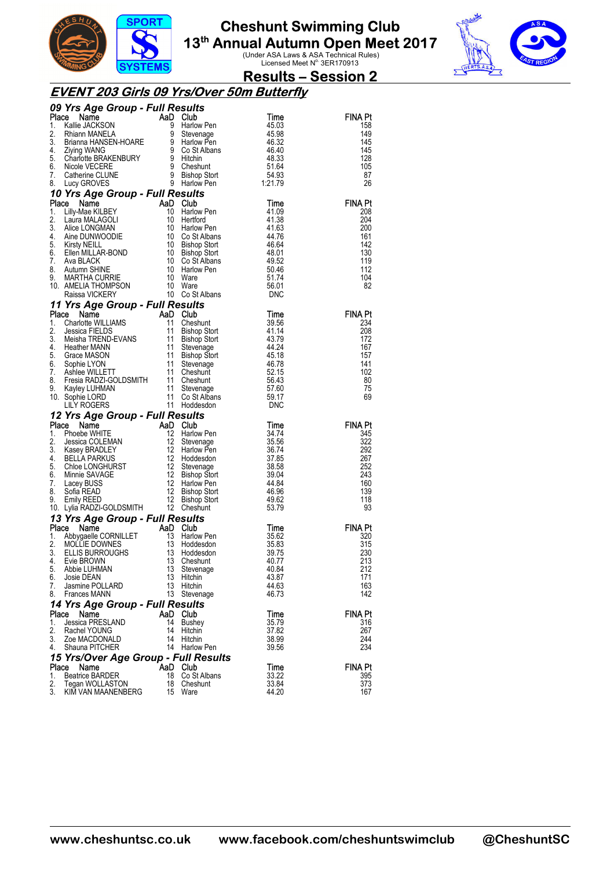



#### **Results – Session 2**

#### **EVENT 203 Girls 09 Yrs/Over 50m Butterfly**

| 09 Yrs Age Group - Full Results                                                                                                                                                                                                                                                         |          |                                                                                        |                |                |
|-----------------------------------------------------------------------------------------------------------------------------------------------------------------------------------------------------------------------------------------------------------------------------------------|----------|----------------------------------------------------------------------------------------|----------------|----------------|
| <b>Yrs Age Group - run resures</b><br>Callie JACKSON<br>Kallie JACKSON<br>Brianna HANSEN-HOARE<br>Brianna HANSEN-HOARE<br>9 Stevenage<br>9 Harlow Pen<br>46.32<br>Ziying WANG<br>2 Ziying WANG<br>Charlotte BRAKENBURY<br>9 Hitchin<br>148.33<br>Catherine CL<br>Place                  |          |                                                                                        |                | <b>FINA Pt</b> |
| 1.                                                                                                                                                                                                                                                                                      |          |                                                                                        |                | 158            |
| 2.                                                                                                                                                                                                                                                                                      |          |                                                                                        |                | 149            |
| 3.                                                                                                                                                                                                                                                                                      |          |                                                                                        |                | 145            |
| 4.<br>5.                                                                                                                                                                                                                                                                                |          |                                                                                        |                | 145<br>128     |
| 6.                                                                                                                                                                                                                                                                                      |          |                                                                                        |                | 105            |
| 7.                                                                                                                                                                                                                                                                                      |          |                                                                                        |                | 87             |
| 8.                                                                                                                                                                                                                                                                                      |          |                                                                                        |                | 26             |
| 10 Yrs Age Group - Full Results                                                                                                                                                                                                                                                         |          |                                                                                        |                |                |
|                                                                                                                                                                                                                                                                                         |          |                                                                                        | Time           | <b>FINA Pt</b> |
|                                                                                                                                                                                                                                                                                         |          |                                                                                        | 41.09          | 208            |
|                                                                                                                                                                                                                                                                                         |          |                                                                                        | 41.38          | 204            |
|                                                                                                                                                                                                                                                                                         |          |                                                                                        | 41.63          | 200            |
|                                                                                                                                                                                                                                                                                         |          |                                                                                        | 44.76          | 161            |
|                                                                                                                                                                                                                                                                                         |          |                                                                                        | 46.64          | 142            |
|                                                                                                                                                                                                                                                                                         |          |                                                                                        | 48.01          | 130            |
|                                                                                                                                                                                                                                                                                         |          |                                                                                        | 49.52<br>50.46 | 119<br>112     |
|                                                                                                                                                                                                                                                                                         |          |                                                                                        | 51.74          | 104            |
|                                                                                                                                                                                                                                                                                         |          |                                                                                        | 56.01          | 82             |
| <b>Profile School Control Control Control Control Control Control Control Control Control Control Control Control Control Control Control Control Control Control Control Control Control Control Control Control Control Contro</b>                                                    |          | 10 Co St Albans                                                                        | DNC            |                |
| 11 Yrs Age Group - Full Results                                                                                                                                                                                                                                                         |          |                                                                                        |                |                |
| Place<br><b>Prioring Caroling Carolina Control Carolina Control Carolina Carolina Charlotte WILLIAMS</b><br>Charlotte WILLIAMS<br>Jessica FIELDS 11 Bishop Stort<br>Meisha TREND-EVANS 11 Bishop Stort<br>Heather MANN 11 Stevenage<br>Grace MASON 11                                   |          |                                                                                        | Time           | <b>FINA Pt</b> |
| 1.                                                                                                                                                                                                                                                                                      |          |                                                                                        | 39.56          | 234            |
| 2.                                                                                                                                                                                                                                                                                      |          |                                                                                        | 41.14          | 208            |
| 3.                                                                                                                                                                                                                                                                                      |          |                                                                                        | 43.79          | 172            |
| 4.                                                                                                                                                                                                                                                                                      |          |                                                                                        | 44.24          | 167            |
| 5.                                                                                                                                                                                                                                                                                      |          |                                                                                        | 45.18          | 157            |
| 6.<br>7.                                                                                                                                                                                                                                                                                |          | Theshu.<br>Bishop Stort<br>Bishop Stort<br>Stevenage<br>Bishop Stort<br>Thunt<br>Thunt | 46.78<br>52.15 | 141<br>102     |
| 8.                                                                                                                                                                                                                                                                                      |          |                                                                                        | 56.43          | 80             |
| 9.                                                                                                                                                                                                                                                                                      |          |                                                                                        | 57.60          | 75             |
| 10. Sophie LORD                                                                                                                                                                                                                                                                         |          |                                                                                        | 59.17          | 69             |
|                                                                                                                                                                                                                                                                                         |          |                                                                                        | DNC            |                |
|                                                                                                                                                                                                                                                                                         |          |                                                                                        |                |                |
|                                                                                                                                                                                                                                                                                         |          |                                                                                        |                |                |
| 12 Yrs Age Group - Full Results                                                                                                                                                                                                                                                         |          |                                                                                        | Time           | <b>FINA Pt</b> |
|                                                                                                                                                                                                                                                                                         |          |                                                                                        | 34.74          | 345            |
|                                                                                                                                                                                                                                                                                         |          |                                                                                        | 35.56          | 322            |
|                                                                                                                                                                                                                                                                                         |          |                                                                                        | 36.74          | 292            |
|                                                                                                                                                                                                                                                                                         |          |                                                                                        | 37.85          | 267            |
|                                                                                                                                                                                                                                                                                         |          |                                                                                        | 38.58          | 252            |
|                                                                                                                                                                                                                                                                                         |          |                                                                                        | 39.04          | 243            |
|                                                                                                                                                                                                                                                                                         |          |                                                                                        | 44.84<br>46.96 | 160<br>139     |
|                                                                                                                                                                                                                                                                                         |          |                                                                                        | 49.62          | 118            |
|                                                                                                                                                                                                                                                                                         |          |                                                                                        | 53.79          | 93             |
| 12 Trs Age Group - Full Results<br>Place Name AaD Club<br>1. Phoebe WHITE<br>2. Jessica COLEMAN<br>3. Kasey BRADLEY<br>4. BELLA PARKUS<br>4. BELLA PARKUS<br>4. BELLA PARKUS<br>12 Harlow Pen<br>6. Minnie SAVAGE<br>6. Minnie SAVAGE<br>6. Minnie S<br>13 Yrs Age Group - Full Results |          |                                                                                        |                |                |
| Place                                                                                                                                                                                                                                                                                   | AaD Club |                                                                                        | Time           | <b>FINA Pt</b> |
| 1.                                                                                                                                                                                                                                                                                      | 13       | Harlow Pen                                                                             | 35.62          | 320            |
| 2.                                                                                                                                                                                                                                                                                      | 13       | Hoddesdon                                                                              | 35.83          | 315            |
| 3.                                                                                                                                                                                                                                                                                      | 13       | Hoddesdon                                                                              | 39.75          | 230            |
| <b>COMPRESS CONSUMING A</b><br>Abbygaelle CORNILLET<br>MOLLIE DOWNES<br>ELLIS BURROUGHS<br>Evie BROWN<br>4.                                                                                                                                                                             | 13       | Cheshunt                                                                               | 40.77          | 213            |
| 5.<br>Abbie LUHMAN                                                                                                                                                                                                                                                                      | 13       | Stevenage                                                                              | 40.84          | 212            |
| 6.<br>Josie DEAN<br>7.<br>Jasmine POLLARD                                                                                                                                                                                                                                               | 13<br>13 | Hitchin<br>Hitchin                                                                     | 43.87<br>44.63 | 171<br>163     |
| 8.<br><b>Frances MANN</b>                                                                                                                                                                                                                                                               | 13       | Stevenage                                                                              | 46.73          | 142            |
|                                                                                                                                                                                                                                                                                         |          |                                                                                        |                |                |
| 14 Yrs Age Group - Full Results<br>Place<br>Name                                                                                                                                                                                                                                        |          | AaD Club                                                                               | Time           | FINA Pt        |
| Jessica PRESLAND<br>1.                                                                                                                                                                                                                                                                  | 14       | Bushey                                                                                 | 35.79          | 316            |
| 2.<br>Rachel YOUNG                                                                                                                                                                                                                                                                      | 14       | Hitchin                                                                                | 37.82          | 267            |
| 3.<br>Zoe MACDONALD                                                                                                                                                                                                                                                                     | 14       | Hitchin                                                                                | 38.99          | 244            |
| 4.<br>Shauna PITCHER                                                                                                                                                                                                                                                                    | 14       | <b>Harlow Pen</b>                                                                      | 39.56          | 234            |
| 15 Yrs/Over Age Group - Full Results                                                                                                                                                                                                                                                    |          |                                                                                        |                |                |
| Place<br>Name                                                                                                                                                                                                                                                                           |          | AaD Club                                                                               | Time           | <b>FINA Pt</b> |
| <b>Beatrice BARDER</b><br>1.<br>2.<br>Tegan WOLLASTON                                                                                                                                                                                                                                   | 18<br>18 | Co St Albans<br>Cheshunt                                                               | 33.22<br>33.84 | 395<br>373     |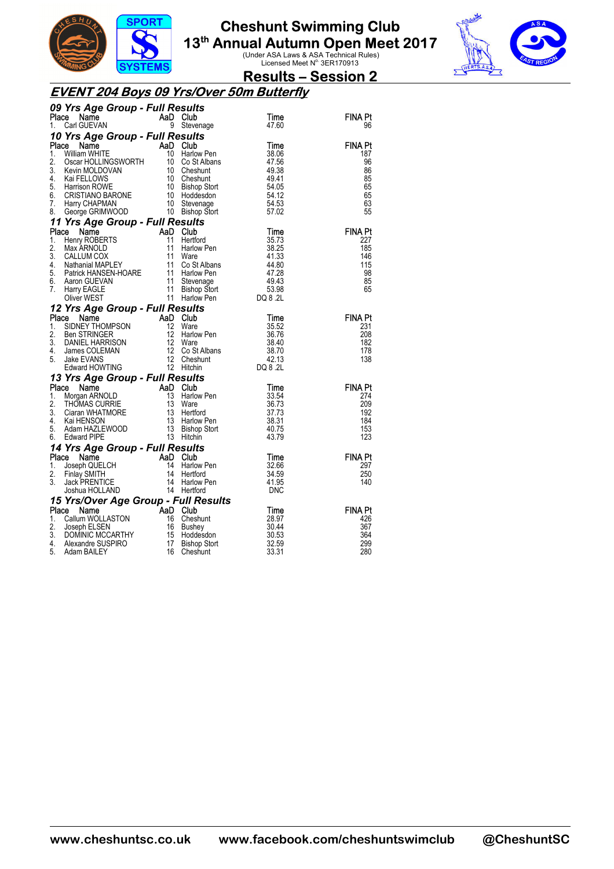



#### **Results – Session 2**

#### **EVENT 204 Boys 09 Yrs/Over 50m Butterfly**

| AaD Club<br><b>FINA Pt</b><br>Place<br>Name<br>Time<br>Carl GUEVAN<br>9<br>Stevenage<br>47.60<br>1.<br>96<br>10 Yrs Age Group - Full Results<br><b>FINA Pt</b><br>Place<br>AaD<br>Club<br>Time<br>Name<br>i<br>Barat II<br>William WHITE<br>10<br>1.<br>38.06<br>Harlow Pen<br>187<br>William WHITE 10 Harlow Pen<br>Oscar HOLLINGSWORTH 10 Co St Albans<br>Kevin MOLDOVAN 10 Cheshunt<br>Kai FELLOWS 10 Cheshunt<br>Harrison ROWE 10 Bishop Stort<br>CRISTIANO BARONE 10 Hoddesdon<br>Harry CHAPMAN 10 Stevenage<br>George GRIMWO<br>2.<br>96<br>47.56<br>3.<br>49.38<br>86<br>4.<br>49.41<br>85<br>5.<br>54.05<br>65<br>6.<br>54.12<br>65<br>7.<br>54.53<br>63<br>8.<br>57.02<br>55<br>11 Yrs Age Group - Full Results<br><b>Yrs Age Group - Full Results<br/> Se Name AaD Club<br/> Henry ROBERTS 11 Hertford<br/> Max ARNOLD 11 Harlow Pen<br/> CALLUM COX 11 Ware<br/> Nathanial MAPLEY 11 Co St Albans<br/> Patrick HANSEN-HOARE 11 Harlow Pen<br/> Aaron GUEVAN 11 Stevenge<br/> Harr</b><br><b>FINA Pt</b><br>Place<br>Time<br>35.73<br>1.<br>227<br>2.<br>185<br>38.25<br>3.<br>41.33<br>146<br>4.<br>44.80<br>115<br>5.<br>47.28<br>98<br>49.43<br>6.<br>85<br>7.<br>53.98<br>65<br>DQ 8 .2L<br>12 Yrs Age Group - Full Results<br><b>es<i>ults</i></b><br>Club<br>Ware<br>Harlow Pen<br>Co St Albans<br>Cheshunt<br>Cheshunt<br>Hitchin I<br>Place<br>CONSUMER THOMPSON<br>SIDNEY THOMPSON 12 Ware<br>Ben STRINGER 12 Harlow<br>DANIEL HARRISON 12 Ware<br>James COLEMAN 12 Co St<br>Jake EVANS 12 Chesh<br>Edward HOWTING 12 Hitchir<br><b>FINA Pt</b><br>Time<br>1.<br>35.52<br>231<br>2.<br>208<br>36.76<br>3.<br>182<br>38.40<br>4.<br>38.70<br>178<br>42.13<br>138<br>5.<br>12 Hitchin<br>DQ 8 .2L<br>13 Yrs Age Group - Full Results<br><b>esults<br/>Club<br/>Harlow Pen</b><br><b>Example 13 AaD Club</b><br>Morgan ARNOLD 13 Harlow<br>THOMAS CURRIE 13 Ware<br><b>FINA Pt</b><br>Place<br>Time<br>1.<br>33.54<br>274<br>2.<br>209<br>36.73<br>Multiplants CURRIE<br>Ciaran WHATMORE<br>Ciaran WHATMORE<br>Adam HAZLEWOOD 13 Bishop Stort<br>Adam HAZLEWOOD 13 Hatchin<br>13 Hatchin 11 Hatchin<br>13 Hatchin<br>12 Hatchin<br>12 Hatchin<br>12 Hatchin<br>12 Hatchin<br>13 Hatchin<br>12 Hatchin<br>12<br>192<br>3.<br>37.73<br>4.<br>38.31<br>184<br>5.<br>153<br>40.75<br>123<br>43.79<br>6.<br>14 Yrs Age Group - Full Results<br>Place<br><b>Property CONSUMER CONSUMER</b><br><b>Sammer AaD</b><br>Joseph QUELCH<br>Finlay SMITH 14<br>Jack PRENTICE 14<br>Joshua HOLLAND 14<br><b>FINA Pt</b><br>Club<br>Time<br>297<br>1.<br>Harlow Pen<br>32.66<br>2.<br>34.59<br>250<br>Hertford<br>3.<br>41.95<br>Harlow Pen<br>140<br>14 Hertford<br><b>DNC</b><br>15 Yrs/Over Age Group - Full Results<br>Place - Name<br>THE Callum WOLLASTON<br>Callum WOLLASTON<br>Joseph ELSEN<br>DOMINIC MCCARTHY<br>Alexandre SUSPIRO<br>Alexandre SUSPIRO<br>Adam BAILEY<br>16 Chesh<br><b>FINA Pt</b><br>Place<br>Time<br>28.97<br>Cheshunt<br>426<br>1.<br>2.<br>30.44<br>367<br>Bushey<br>3.<br>364<br>30.53<br>Hoddesdon<br>4.<br>32.59<br>299<br><b>Bishop Stort</b><br>33.31<br>280<br>5.<br>Cheshunt | 09 Yrs Age Group - Full Results |  |  |
|---------------------------------------------------------------------------------------------------------------------------------------------------------------------------------------------------------------------------------------------------------------------------------------------------------------------------------------------------------------------------------------------------------------------------------------------------------------------------------------------------------------------------------------------------------------------------------------------------------------------------------------------------------------------------------------------------------------------------------------------------------------------------------------------------------------------------------------------------------------------------------------------------------------------------------------------------------------------------------------------------------------------------------------------------------------------------------------------------------------------------------------------------------------------------------------------------------------------------------------------------------------------------------------------------------------------------------------------------------------------------------------------------------------------------------------------------------------------------------------------------------------------------------------------------------------------------------------------------------------------------------------------------------------------------------------------------------------------------------------------------------------------------------------------------------------------------------------------------------------------------------------------------------------------------------------------------------------------------------------------------------------------------------------------------------------------------------------------------------------------------------------------------------------------------------------------------------------------------------------------------------------------------------------------------------------------------------------------------------------------------------------------------------------------------------------------------------------------------------------------------------------------------------------------------------------------------------------------------------------------------------------------------------------------------------------------------------------------------------------------------------------------------------------------------------------------------------------------------------------------------------------------------------------------------------------------------------------------------------------------------------------------------------------------------------------------------------------------------------------------|---------------------------------|--|--|
|                                                                                                                                                                                                                                                                                                                                                                                                                                                                                                                                                                                                                                                                                                                                                                                                                                                                                                                                                                                                                                                                                                                                                                                                                                                                                                                                                                                                                                                                                                                                                                                                                                                                                                                                                                                                                                                                                                                                                                                                                                                                                                                                                                                                                                                                                                                                                                                                                                                                                                                                                                                                                                                                                                                                                                                                                                                                                                                                                                                                                                                                                                                     |                                 |  |  |
|                                                                                                                                                                                                                                                                                                                                                                                                                                                                                                                                                                                                                                                                                                                                                                                                                                                                                                                                                                                                                                                                                                                                                                                                                                                                                                                                                                                                                                                                                                                                                                                                                                                                                                                                                                                                                                                                                                                                                                                                                                                                                                                                                                                                                                                                                                                                                                                                                                                                                                                                                                                                                                                                                                                                                                                                                                                                                                                                                                                                                                                                                                                     |                                 |  |  |
|                                                                                                                                                                                                                                                                                                                                                                                                                                                                                                                                                                                                                                                                                                                                                                                                                                                                                                                                                                                                                                                                                                                                                                                                                                                                                                                                                                                                                                                                                                                                                                                                                                                                                                                                                                                                                                                                                                                                                                                                                                                                                                                                                                                                                                                                                                                                                                                                                                                                                                                                                                                                                                                                                                                                                                                                                                                                                                                                                                                                                                                                                                                     |                                 |  |  |
|                                                                                                                                                                                                                                                                                                                                                                                                                                                                                                                                                                                                                                                                                                                                                                                                                                                                                                                                                                                                                                                                                                                                                                                                                                                                                                                                                                                                                                                                                                                                                                                                                                                                                                                                                                                                                                                                                                                                                                                                                                                                                                                                                                                                                                                                                                                                                                                                                                                                                                                                                                                                                                                                                                                                                                                                                                                                                                                                                                                                                                                                                                                     |                                 |  |  |
|                                                                                                                                                                                                                                                                                                                                                                                                                                                                                                                                                                                                                                                                                                                                                                                                                                                                                                                                                                                                                                                                                                                                                                                                                                                                                                                                                                                                                                                                                                                                                                                                                                                                                                                                                                                                                                                                                                                                                                                                                                                                                                                                                                                                                                                                                                                                                                                                                                                                                                                                                                                                                                                                                                                                                                                                                                                                                                                                                                                                                                                                                                                     |                                 |  |  |
|                                                                                                                                                                                                                                                                                                                                                                                                                                                                                                                                                                                                                                                                                                                                                                                                                                                                                                                                                                                                                                                                                                                                                                                                                                                                                                                                                                                                                                                                                                                                                                                                                                                                                                                                                                                                                                                                                                                                                                                                                                                                                                                                                                                                                                                                                                                                                                                                                                                                                                                                                                                                                                                                                                                                                                                                                                                                                                                                                                                                                                                                                                                     |                                 |  |  |
|                                                                                                                                                                                                                                                                                                                                                                                                                                                                                                                                                                                                                                                                                                                                                                                                                                                                                                                                                                                                                                                                                                                                                                                                                                                                                                                                                                                                                                                                                                                                                                                                                                                                                                                                                                                                                                                                                                                                                                                                                                                                                                                                                                                                                                                                                                                                                                                                                                                                                                                                                                                                                                                                                                                                                                                                                                                                                                                                                                                                                                                                                                                     |                                 |  |  |
|                                                                                                                                                                                                                                                                                                                                                                                                                                                                                                                                                                                                                                                                                                                                                                                                                                                                                                                                                                                                                                                                                                                                                                                                                                                                                                                                                                                                                                                                                                                                                                                                                                                                                                                                                                                                                                                                                                                                                                                                                                                                                                                                                                                                                                                                                                                                                                                                                                                                                                                                                                                                                                                                                                                                                                                                                                                                                                                                                                                                                                                                                                                     |                                 |  |  |
|                                                                                                                                                                                                                                                                                                                                                                                                                                                                                                                                                                                                                                                                                                                                                                                                                                                                                                                                                                                                                                                                                                                                                                                                                                                                                                                                                                                                                                                                                                                                                                                                                                                                                                                                                                                                                                                                                                                                                                                                                                                                                                                                                                                                                                                                                                                                                                                                                                                                                                                                                                                                                                                                                                                                                                                                                                                                                                                                                                                                                                                                                                                     |                                 |  |  |
|                                                                                                                                                                                                                                                                                                                                                                                                                                                                                                                                                                                                                                                                                                                                                                                                                                                                                                                                                                                                                                                                                                                                                                                                                                                                                                                                                                                                                                                                                                                                                                                                                                                                                                                                                                                                                                                                                                                                                                                                                                                                                                                                                                                                                                                                                                                                                                                                                                                                                                                                                                                                                                                                                                                                                                                                                                                                                                                                                                                                                                                                                                                     |                                 |  |  |
|                                                                                                                                                                                                                                                                                                                                                                                                                                                                                                                                                                                                                                                                                                                                                                                                                                                                                                                                                                                                                                                                                                                                                                                                                                                                                                                                                                                                                                                                                                                                                                                                                                                                                                                                                                                                                                                                                                                                                                                                                                                                                                                                                                                                                                                                                                                                                                                                                                                                                                                                                                                                                                                                                                                                                                                                                                                                                                                                                                                                                                                                                                                     |                                 |  |  |
|                                                                                                                                                                                                                                                                                                                                                                                                                                                                                                                                                                                                                                                                                                                                                                                                                                                                                                                                                                                                                                                                                                                                                                                                                                                                                                                                                                                                                                                                                                                                                                                                                                                                                                                                                                                                                                                                                                                                                                                                                                                                                                                                                                                                                                                                                                                                                                                                                                                                                                                                                                                                                                                                                                                                                                                                                                                                                                                                                                                                                                                                                                                     |                                 |  |  |
|                                                                                                                                                                                                                                                                                                                                                                                                                                                                                                                                                                                                                                                                                                                                                                                                                                                                                                                                                                                                                                                                                                                                                                                                                                                                                                                                                                                                                                                                                                                                                                                                                                                                                                                                                                                                                                                                                                                                                                                                                                                                                                                                                                                                                                                                                                                                                                                                                                                                                                                                                                                                                                                                                                                                                                                                                                                                                                                                                                                                                                                                                                                     |                                 |  |  |
|                                                                                                                                                                                                                                                                                                                                                                                                                                                                                                                                                                                                                                                                                                                                                                                                                                                                                                                                                                                                                                                                                                                                                                                                                                                                                                                                                                                                                                                                                                                                                                                                                                                                                                                                                                                                                                                                                                                                                                                                                                                                                                                                                                                                                                                                                                                                                                                                                                                                                                                                                                                                                                                                                                                                                                                                                                                                                                                                                                                                                                                                                                                     |                                 |  |  |
|                                                                                                                                                                                                                                                                                                                                                                                                                                                                                                                                                                                                                                                                                                                                                                                                                                                                                                                                                                                                                                                                                                                                                                                                                                                                                                                                                                                                                                                                                                                                                                                                                                                                                                                                                                                                                                                                                                                                                                                                                                                                                                                                                                                                                                                                                                                                                                                                                                                                                                                                                                                                                                                                                                                                                                                                                                                                                                                                                                                                                                                                                                                     |                                 |  |  |
|                                                                                                                                                                                                                                                                                                                                                                                                                                                                                                                                                                                                                                                                                                                                                                                                                                                                                                                                                                                                                                                                                                                                                                                                                                                                                                                                                                                                                                                                                                                                                                                                                                                                                                                                                                                                                                                                                                                                                                                                                                                                                                                                                                                                                                                                                                                                                                                                                                                                                                                                                                                                                                                                                                                                                                                                                                                                                                                                                                                                                                                                                                                     |                                 |  |  |
|                                                                                                                                                                                                                                                                                                                                                                                                                                                                                                                                                                                                                                                                                                                                                                                                                                                                                                                                                                                                                                                                                                                                                                                                                                                                                                                                                                                                                                                                                                                                                                                                                                                                                                                                                                                                                                                                                                                                                                                                                                                                                                                                                                                                                                                                                                                                                                                                                                                                                                                                                                                                                                                                                                                                                                                                                                                                                                                                                                                                                                                                                                                     |                                 |  |  |
|                                                                                                                                                                                                                                                                                                                                                                                                                                                                                                                                                                                                                                                                                                                                                                                                                                                                                                                                                                                                                                                                                                                                                                                                                                                                                                                                                                                                                                                                                                                                                                                                                                                                                                                                                                                                                                                                                                                                                                                                                                                                                                                                                                                                                                                                                                                                                                                                                                                                                                                                                                                                                                                                                                                                                                                                                                                                                                                                                                                                                                                                                                                     |                                 |  |  |
|                                                                                                                                                                                                                                                                                                                                                                                                                                                                                                                                                                                                                                                                                                                                                                                                                                                                                                                                                                                                                                                                                                                                                                                                                                                                                                                                                                                                                                                                                                                                                                                                                                                                                                                                                                                                                                                                                                                                                                                                                                                                                                                                                                                                                                                                                                                                                                                                                                                                                                                                                                                                                                                                                                                                                                                                                                                                                                                                                                                                                                                                                                                     |                                 |  |  |
|                                                                                                                                                                                                                                                                                                                                                                                                                                                                                                                                                                                                                                                                                                                                                                                                                                                                                                                                                                                                                                                                                                                                                                                                                                                                                                                                                                                                                                                                                                                                                                                                                                                                                                                                                                                                                                                                                                                                                                                                                                                                                                                                                                                                                                                                                                                                                                                                                                                                                                                                                                                                                                                                                                                                                                                                                                                                                                                                                                                                                                                                                                                     |                                 |  |  |
|                                                                                                                                                                                                                                                                                                                                                                                                                                                                                                                                                                                                                                                                                                                                                                                                                                                                                                                                                                                                                                                                                                                                                                                                                                                                                                                                                                                                                                                                                                                                                                                                                                                                                                                                                                                                                                                                                                                                                                                                                                                                                                                                                                                                                                                                                                                                                                                                                                                                                                                                                                                                                                                                                                                                                                                                                                                                                                                                                                                                                                                                                                                     |                                 |  |  |
|                                                                                                                                                                                                                                                                                                                                                                                                                                                                                                                                                                                                                                                                                                                                                                                                                                                                                                                                                                                                                                                                                                                                                                                                                                                                                                                                                                                                                                                                                                                                                                                                                                                                                                                                                                                                                                                                                                                                                                                                                                                                                                                                                                                                                                                                                                                                                                                                                                                                                                                                                                                                                                                                                                                                                                                                                                                                                                                                                                                                                                                                                                                     |                                 |  |  |
|                                                                                                                                                                                                                                                                                                                                                                                                                                                                                                                                                                                                                                                                                                                                                                                                                                                                                                                                                                                                                                                                                                                                                                                                                                                                                                                                                                                                                                                                                                                                                                                                                                                                                                                                                                                                                                                                                                                                                                                                                                                                                                                                                                                                                                                                                                                                                                                                                                                                                                                                                                                                                                                                                                                                                                                                                                                                                                                                                                                                                                                                                                                     |                                 |  |  |
|                                                                                                                                                                                                                                                                                                                                                                                                                                                                                                                                                                                                                                                                                                                                                                                                                                                                                                                                                                                                                                                                                                                                                                                                                                                                                                                                                                                                                                                                                                                                                                                                                                                                                                                                                                                                                                                                                                                                                                                                                                                                                                                                                                                                                                                                                                                                                                                                                                                                                                                                                                                                                                                                                                                                                                                                                                                                                                                                                                                                                                                                                                                     |                                 |  |  |
|                                                                                                                                                                                                                                                                                                                                                                                                                                                                                                                                                                                                                                                                                                                                                                                                                                                                                                                                                                                                                                                                                                                                                                                                                                                                                                                                                                                                                                                                                                                                                                                                                                                                                                                                                                                                                                                                                                                                                                                                                                                                                                                                                                                                                                                                                                                                                                                                                                                                                                                                                                                                                                                                                                                                                                                                                                                                                                                                                                                                                                                                                                                     |                                 |  |  |
|                                                                                                                                                                                                                                                                                                                                                                                                                                                                                                                                                                                                                                                                                                                                                                                                                                                                                                                                                                                                                                                                                                                                                                                                                                                                                                                                                                                                                                                                                                                                                                                                                                                                                                                                                                                                                                                                                                                                                                                                                                                                                                                                                                                                                                                                                                                                                                                                                                                                                                                                                                                                                                                                                                                                                                                                                                                                                                                                                                                                                                                                                                                     |                                 |  |  |
|                                                                                                                                                                                                                                                                                                                                                                                                                                                                                                                                                                                                                                                                                                                                                                                                                                                                                                                                                                                                                                                                                                                                                                                                                                                                                                                                                                                                                                                                                                                                                                                                                                                                                                                                                                                                                                                                                                                                                                                                                                                                                                                                                                                                                                                                                                                                                                                                                                                                                                                                                                                                                                                                                                                                                                                                                                                                                                                                                                                                                                                                                                                     |                                 |  |  |
|                                                                                                                                                                                                                                                                                                                                                                                                                                                                                                                                                                                                                                                                                                                                                                                                                                                                                                                                                                                                                                                                                                                                                                                                                                                                                                                                                                                                                                                                                                                                                                                                                                                                                                                                                                                                                                                                                                                                                                                                                                                                                                                                                                                                                                                                                                                                                                                                                                                                                                                                                                                                                                                                                                                                                                                                                                                                                                                                                                                                                                                                                                                     |                                 |  |  |
|                                                                                                                                                                                                                                                                                                                                                                                                                                                                                                                                                                                                                                                                                                                                                                                                                                                                                                                                                                                                                                                                                                                                                                                                                                                                                                                                                                                                                                                                                                                                                                                                                                                                                                                                                                                                                                                                                                                                                                                                                                                                                                                                                                                                                                                                                                                                                                                                                                                                                                                                                                                                                                                                                                                                                                                                                                                                                                                                                                                                                                                                                                                     |                                 |  |  |
|                                                                                                                                                                                                                                                                                                                                                                                                                                                                                                                                                                                                                                                                                                                                                                                                                                                                                                                                                                                                                                                                                                                                                                                                                                                                                                                                                                                                                                                                                                                                                                                                                                                                                                                                                                                                                                                                                                                                                                                                                                                                                                                                                                                                                                                                                                                                                                                                                                                                                                                                                                                                                                                                                                                                                                                                                                                                                                                                                                                                                                                                                                                     |                                 |  |  |
|                                                                                                                                                                                                                                                                                                                                                                                                                                                                                                                                                                                                                                                                                                                                                                                                                                                                                                                                                                                                                                                                                                                                                                                                                                                                                                                                                                                                                                                                                                                                                                                                                                                                                                                                                                                                                                                                                                                                                                                                                                                                                                                                                                                                                                                                                                                                                                                                                                                                                                                                                                                                                                                                                                                                                                                                                                                                                                                                                                                                                                                                                                                     |                                 |  |  |
|                                                                                                                                                                                                                                                                                                                                                                                                                                                                                                                                                                                                                                                                                                                                                                                                                                                                                                                                                                                                                                                                                                                                                                                                                                                                                                                                                                                                                                                                                                                                                                                                                                                                                                                                                                                                                                                                                                                                                                                                                                                                                                                                                                                                                                                                                                                                                                                                                                                                                                                                                                                                                                                                                                                                                                                                                                                                                                                                                                                                                                                                                                                     |                                 |  |  |
|                                                                                                                                                                                                                                                                                                                                                                                                                                                                                                                                                                                                                                                                                                                                                                                                                                                                                                                                                                                                                                                                                                                                                                                                                                                                                                                                                                                                                                                                                                                                                                                                                                                                                                                                                                                                                                                                                                                                                                                                                                                                                                                                                                                                                                                                                                                                                                                                                                                                                                                                                                                                                                                                                                                                                                                                                                                                                                                                                                                                                                                                                                                     |                                 |  |  |
|                                                                                                                                                                                                                                                                                                                                                                                                                                                                                                                                                                                                                                                                                                                                                                                                                                                                                                                                                                                                                                                                                                                                                                                                                                                                                                                                                                                                                                                                                                                                                                                                                                                                                                                                                                                                                                                                                                                                                                                                                                                                                                                                                                                                                                                                                                                                                                                                                                                                                                                                                                                                                                                                                                                                                                                                                                                                                                                                                                                                                                                                                                                     |                                 |  |  |
|                                                                                                                                                                                                                                                                                                                                                                                                                                                                                                                                                                                                                                                                                                                                                                                                                                                                                                                                                                                                                                                                                                                                                                                                                                                                                                                                                                                                                                                                                                                                                                                                                                                                                                                                                                                                                                                                                                                                                                                                                                                                                                                                                                                                                                                                                                                                                                                                                                                                                                                                                                                                                                                                                                                                                                                                                                                                                                                                                                                                                                                                                                                     |                                 |  |  |
|                                                                                                                                                                                                                                                                                                                                                                                                                                                                                                                                                                                                                                                                                                                                                                                                                                                                                                                                                                                                                                                                                                                                                                                                                                                                                                                                                                                                                                                                                                                                                                                                                                                                                                                                                                                                                                                                                                                                                                                                                                                                                                                                                                                                                                                                                                                                                                                                                                                                                                                                                                                                                                                                                                                                                                                                                                                                                                                                                                                                                                                                                                                     |                                 |  |  |
|                                                                                                                                                                                                                                                                                                                                                                                                                                                                                                                                                                                                                                                                                                                                                                                                                                                                                                                                                                                                                                                                                                                                                                                                                                                                                                                                                                                                                                                                                                                                                                                                                                                                                                                                                                                                                                                                                                                                                                                                                                                                                                                                                                                                                                                                                                                                                                                                                                                                                                                                                                                                                                                                                                                                                                                                                                                                                                                                                                                                                                                                                                                     |                                 |  |  |
|                                                                                                                                                                                                                                                                                                                                                                                                                                                                                                                                                                                                                                                                                                                                                                                                                                                                                                                                                                                                                                                                                                                                                                                                                                                                                                                                                                                                                                                                                                                                                                                                                                                                                                                                                                                                                                                                                                                                                                                                                                                                                                                                                                                                                                                                                                                                                                                                                                                                                                                                                                                                                                                                                                                                                                                                                                                                                                                                                                                                                                                                                                                     |                                 |  |  |
|                                                                                                                                                                                                                                                                                                                                                                                                                                                                                                                                                                                                                                                                                                                                                                                                                                                                                                                                                                                                                                                                                                                                                                                                                                                                                                                                                                                                                                                                                                                                                                                                                                                                                                                                                                                                                                                                                                                                                                                                                                                                                                                                                                                                                                                                                                                                                                                                                                                                                                                                                                                                                                                                                                                                                                                                                                                                                                                                                                                                                                                                                                                     |                                 |  |  |
|                                                                                                                                                                                                                                                                                                                                                                                                                                                                                                                                                                                                                                                                                                                                                                                                                                                                                                                                                                                                                                                                                                                                                                                                                                                                                                                                                                                                                                                                                                                                                                                                                                                                                                                                                                                                                                                                                                                                                                                                                                                                                                                                                                                                                                                                                                                                                                                                                                                                                                                                                                                                                                                                                                                                                                                                                                                                                                                                                                                                                                                                                                                     |                                 |  |  |
|                                                                                                                                                                                                                                                                                                                                                                                                                                                                                                                                                                                                                                                                                                                                                                                                                                                                                                                                                                                                                                                                                                                                                                                                                                                                                                                                                                                                                                                                                                                                                                                                                                                                                                                                                                                                                                                                                                                                                                                                                                                                                                                                                                                                                                                                                                                                                                                                                                                                                                                                                                                                                                                                                                                                                                                                                                                                                                                                                                                                                                                                                                                     |                                 |  |  |
|                                                                                                                                                                                                                                                                                                                                                                                                                                                                                                                                                                                                                                                                                                                                                                                                                                                                                                                                                                                                                                                                                                                                                                                                                                                                                                                                                                                                                                                                                                                                                                                                                                                                                                                                                                                                                                                                                                                                                                                                                                                                                                                                                                                                                                                                                                                                                                                                                                                                                                                                                                                                                                                                                                                                                                                                                                                                                                                                                                                                                                                                                                                     |                                 |  |  |
|                                                                                                                                                                                                                                                                                                                                                                                                                                                                                                                                                                                                                                                                                                                                                                                                                                                                                                                                                                                                                                                                                                                                                                                                                                                                                                                                                                                                                                                                                                                                                                                                                                                                                                                                                                                                                                                                                                                                                                                                                                                                                                                                                                                                                                                                                                                                                                                                                                                                                                                                                                                                                                                                                                                                                                                                                                                                                                                                                                                                                                                                                                                     |                                 |  |  |
|                                                                                                                                                                                                                                                                                                                                                                                                                                                                                                                                                                                                                                                                                                                                                                                                                                                                                                                                                                                                                                                                                                                                                                                                                                                                                                                                                                                                                                                                                                                                                                                                                                                                                                                                                                                                                                                                                                                                                                                                                                                                                                                                                                                                                                                                                                                                                                                                                                                                                                                                                                                                                                                                                                                                                                                                                                                                                                                                                                                                                                                                                                                     |                                 |  |  |
|                                                                                                                                                                                                                                                                                                                                                                                                                                                                                                                                                                                                                                                                                                                                                                                                                                                                                                                                                                                                                                                                                                                                                                                                                                                                                                                                                                                                                                                                                                                                                                                                                                                                                                                                                                                                                                                                                                                                                                                                                                                                                                                                                                                                                                                                                                                                                                                                                                                                                                                                                                                                                                                                                                                                                                                                                                                                                                                                                                                                                                                                                                                     |                                 |  |  |
|                                                                                                                                                                                                                                                                                                                                                                                                                                                                                                                                                                                                                                                                                                                                                                                                                                                                                                                                                                                                                                                                                                                                                                                                                                                                                                                                                                                                                                                                                                                                                                                                                                                                                                                                                                                                                                                                                                                                                                                                                                                                                                                                                                                                                                                                                                                                                                                                                                                                                                                                                                                                                                                                                                                                                                                                                                                                                                                                                                                                                                                                                                                     |                                 |  |  |
|                                                                                                                                                                                                                                                                                                                                                                                                                                                                                                                                                                                                                                                                                                                                                                                                                                                                                                                                                                                                                                                                                                                                                                                                                                                                                                                                                                                                                                                                                                                                                                                                                                                                                                                                                                                                                                                                                                                                                                                                                                                                                                                                                                                                                                                                                                                                                                                                                                                                                                                                                                                                                                                                                                                                                                                                                                                                                                                                                                                                                                                                                                                     |                                 |  |  |
|                                                                                                                                                                                                                                                                                                                                                                                                                                                                                                                                                                                                                                                                                                                                                                                                                                                                                                                                                                                                                                                                                                                                                                                                                                                                                                                                                                                                                                                                                                                                                                                                                                                                                                                                                                                                                                                                                                                                                                                                                                                                                                                                                                                                                                                                                                                                                                                                                                                                                                                                                                                                                                                                                                                                                                                                                                                                                                                                                                                                                                                                                                                     |                                 |  |  |
|                                                                                                                                                                                                                                                                                                                                                                                                                                                                                                                                                                                                                                                                                                                                                                                                                                                                                                                                                                                                                                                                                                                                                                                                                                                                                                                                                                                                                                                                                                                                                                                                                                                                                                                                                                                                                                                                                                                                                                                                                                                                                                                                                                                                                                                                                                                                                                                                                                                                                                                                                                                                                                                                                                                                                                                                                                                                                                                                                                                                                                                                                                                     |                                 |  |  |
|                                                                                                                                                                                                                                                                                                                                                                                                                                                                                                                                                                                                                                                                                                                                                                                                                                                                                                                                                                                                                                                                                                                                                                                                                                                                                                                                                                                                                                                                                                                                                                                                                                                                                                                                                                                                                                                                                                                                                                                                                                                                                                                                                                                                                                                                                                                                                                                                                                                                                                                                                                                                                                                                                                                                                                                                                                                                                                                                                                                                                                                                                                                     |                                 |  |  |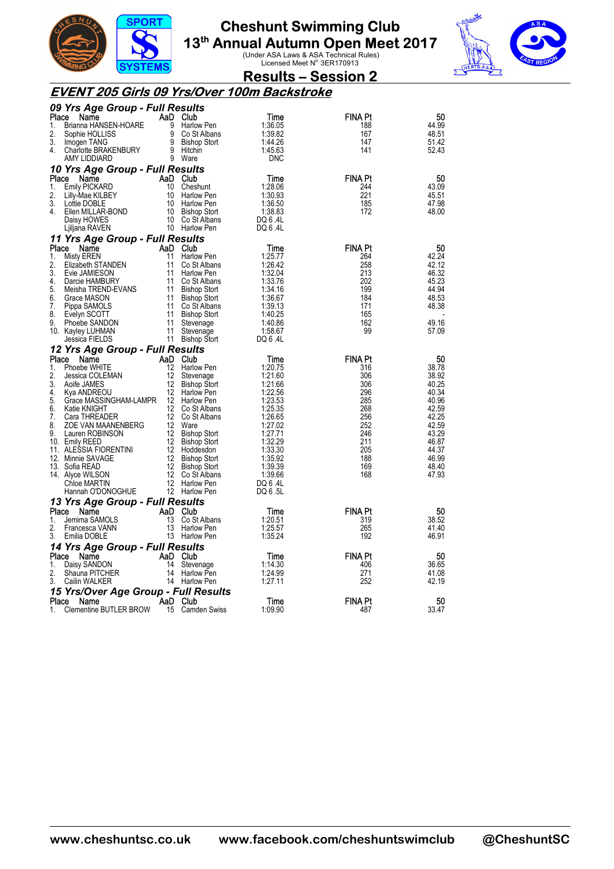



**Results – Session 2** 

#### **EVENT 205 Girls 09 Yrs/Over 100m Backstroke**

|             | 09 Yrs Age Group - Full Results                                                                                                               |    |                                                                        |                    |                       |                |
|-------------|-----------------------------------------------------------------------------------------------------------------------------------------------|----|------------------------------------------------------------------------|--------------------|-----------------------|----------------|
| Place       | Name                                                                                                                                          |    | AaD Club                                                               | Time               | FINA Pt               | 50             |
| 1.          | Brianna HANSEN-HOARE                                                                                                                          |    | 9 Harlow Pen                                                           | 1:36.05            | 188                   | 44.99          |
| 2.          | Sophie HOLLISS                                                                                                                                |    | UARE<br>9 Co St Albans<br>9 Bishop Stort<br>9 Co St Albans             | 1:39.82            | 167                   | 48.51          |
| 3.          | Imogen TANG                                                                                                                                   |    |                                                                        | 1:44.26            | 147                   | 51.42          |
| 4.          | Charlotte BRAKENBURY<br>AMY LIDDIARD 0 Mars                                                                                                   |    |                                                                        | 1:45.63            | 141                   | 52.43          |
|             | AMY LIDDIARD                                                                                                                                  |    | 9 Ware                                                                 | <b>DNC</b>         |                       |                |
|             | 10 Yrs Age Group - Full Results                                                                                                               |    |                                                                        |                    |                       |                |
| Place       | Name                                                                                                                                          |    | AaD Club                                                               | Time               | <b>FINA Pt</b>        | 50             |
| 1.          | Emily PICKARD                                                                                                                                 |    | 10 Cheshunt                                                            | 1:28.06            | 244                   | 43.09          |
| 2.          | Lilly-Mae KILBEY                                                                                                                              |    | 10 Harlow Pen                                                          | 1:30.93            | 221                   | 45.51          |
| 3.          | Lottie DOBLE                                                                                                                                  |    | 10 Harlow Pen                                                          | 1:36.50            | 185                   | 47.98          |
| 4.          | Ellen MILLAR-BOND                                                                                                                             |    | 10 Bishop Stort                                                        | 1:38.83            | 172                   | 48.00          |
|             | Daisy HOWES                                                                                                                                   |    | 10 Co St Albans                                                        | DQ 6 .4L           |                       |                |
|             | Ljiljana RAVEN                                                                                                                                |    | 10 Harlow Pen                                                          | DQ 6 .4L           |                       |                |
|             | 11 Yrs Age Group - Full Results                                                                                                               |    |                                                                        |                    |                       |                |
| Place       | Name                                                                                                                                          |    | AaD Club                                                               | Time               | <b>FINA Pt</b>        | 50             |
| 1.          | Misty EREN                                                                                                                                    |    |                                                                        | 1:25.77            | 264                   | 42.24          |
| 2.          | Elizabeth STANDEN                                                                                                                             |    | <b>AaD Club</b><br>11 Harlow Pen<br>11 Co St Albans<br>11 Co St Albans | 1:26.42            | 258                   | 42.12          |
| 3.          | Evie JAMIESON                                                                                                                                 |    | 11 Harlow Pen                                                          | 1:32.04            | 213                   | 46.32          |
| 4.          | Darcie HAMBURY                                                                                                                                |    | 11 Co St Albans                                                        | 1:33.76            | 202                   | 45.23          |
| 5.          | Meisha TREND-EVANS                                                                                                                            |    | 11 Bishop Stort                                                        | 1:34.16            | 199                   | 44.94          |
| 6.          | Grace MASON                                                                                                                                   |    | 11 Bishop Stort                                                        | 1:36.67            | 184                   | 48.53          |
| 7.          | Pippa SAMOLS                                                                                                                                  |    | 11 Co St Albans                                                        | 1:39.13            | 171                   | 48.38          |
| 8.          | Evelyn SCOTT                                                                                                                                  |    | 11 Bishop Stort                                                        | 1:40.25            | 165                   |                |
| 9.          | Phoebe SANDON                                                                                                                                 | 11 | Stevenage                                                              | 1:40.86            | 162                   | 49.16          |
|             | 10. Kayley LUHMAN                                                                                                                             |    | 11 Stevenage                                                           | 1:58.67            | 99                    | 57.09          |
|             | Jessica FIELDS                                                                                                                                |    | 11 Bishop Stort                                                        | DQ 6 .4L           |                       |                |
|             | 12 Yrs Age Group - Full Results                                                                                                               |    |                                                                        |                    |                       |                |
| Place       | AaD Club<br>12 Harlow<br>Name                                                                                                                 |    |                                                                        | Time               | <b>FINA Pt</b>        | 50             |
| 1.          | Phoebe WHITE                                                                                                                                  | 12 | Harlow Pen                                                             | 1:20.75            | 316                   | 38.78          |
| 2.          | Jessica COLEMAN                                                                                                                               | 12 | Stevenage                                                              | 1:21.60            | 306                   | 38.92          |
| 3.          | Aoife JAMES                                                                                                                                   |    | 12 Bishop Stort                                                        | 1:21.66            | 306                   | 40.25          |
| 4.          | Kya ANDREOU                                                                                                                                   |    | 12 Harlow Pen                                                          | 1:22.56            | 296                   | 40.34          |
| 5.          | Grace MASSINGHAM-LAMPR 12 Harlow Pen                                                                                                          |    |                                                                        | 1:23.53            | 285                   | 40.96          |
| 6.          | Katie KNIGHT                                                                                                                                  |    | 12 Co St Albans                                                        | 1:25.35            | 268                   | 42.59          |
| 7.          | Cara THREADER                                                                                                                                 |    | 12 Co St Albans                                                        | 1:26.65            | 256                   | 42.25          |
| 8.          | <b>ZOE VAN MAANENBERG</b> 12 Ware<br>Lauren ROBINSON 12 Bisho                                                                                 |    |                                                                        | 1:27.02            | 252                   | 42.59          |
| 9.          |                                                                                                                                               |    | 12 Bishop Stort                                                        | 1:27.71            | 246                   | 43.29          |
|             | 10. Emily REED                                                                                                                                |    | 12 Bishop Stort                                                        | 1:32.29            | 211                   | 46.87          |
|             |                                                                                                                                               |    | 12 Bishop Stort                                                        | 1:33.30            | 205<br>188            | 44.37<br>46.99 |
|             | 11. ALESSIA FIORENTINI<br>12. Minnie SAVAGE<br>12. Bishop Stort<br>13. Sofia READ<br>14. Alyce WILSON<br>12. Co St Alban:<br>12. Co St Alban: |    | 12 Bishop Stort                                                        | 1:35.92<br>1:39.39 | 169                   | 48.40          |
|             |                                                                                                                                               |    | 12 Co St Albans                                                        | 1:39.66            | 168                   | 47.93          |
|             | Chloe MARTIN                                                                                                                                  |    | 12 Harlow Pen                                                          | DQ 6 .4L           |                       |                |
|             | Hannah O'DONOGHUE                                                                                                                             |    | 12 Harlow Pen                                                          | DQ 6 .5L           |                       |                |
|             |                                                                                                                                               |    |                                                                        |                    |                       |                |
|             | 13 Yrs Age Group - Full Results<br>Place Name                                                                                                 |    | AaD Club                                                               |                    | FINA Pt               |                |
| 1.          | Jemima SAMOLS                                                                                                                                 | 13 | Co St Albans                                                           | Time<br>1:20.51    | 319                   | 50<br>38.52    |
| 2.          | Francesca VANN                                                                                                                                | 13 | Harlow Pen                                                             | 1:25.57            | 265                   | 41.40          |
| 3.          | Emilia DOBLE                                                                                                                                  |    | 13 Harlow Pen                                                          | 1:35.24            | 192                   | 46.91          |
|             |                                                                                                                                               |    |                                                                        |                    |                       |                |
|             | 14 Yrs Age Group - Full Results                                                                                                               |    |                                                                        |                    |                       |                |
| Place<br>1. | Name                                                                                                                                          |    | AaD Club                                                               | Time<br>1:14.30    | <b>FINA Pt</b><br>406 | 50<br>36.65    |
| 2.          | Daisy SANDON<br>Shauna PITCHER                                                                                                                |    | 14 Stevenage<br>14 Harlow Pen                                          | 1:24.99            | 271                   | 41.08          |
| 3.          | Cailin WALKER                                                                                                                                 |    | 14 Harlow Pen                                                          | 1:27.11            | 252                   | 42.19          |
|             |                                                                                                                                               |    |                                                                        |                    |                       |                |
|             | 15 Yrs/Over Age Group - Full Results<br>Place Name                                                                                            |    | AaD Club                                                               | Time               | <b>FINA Pt</b>        | 50             |
| 1.          | <b>Clementine BUTLER BROW</b>                                                                                                                 |    | 15 Camden Swiss                                                        | 1:09.90            | 487                   | 33.47          |
|             |                                                                                                                                               |    |                                                                        |                    |                       |                |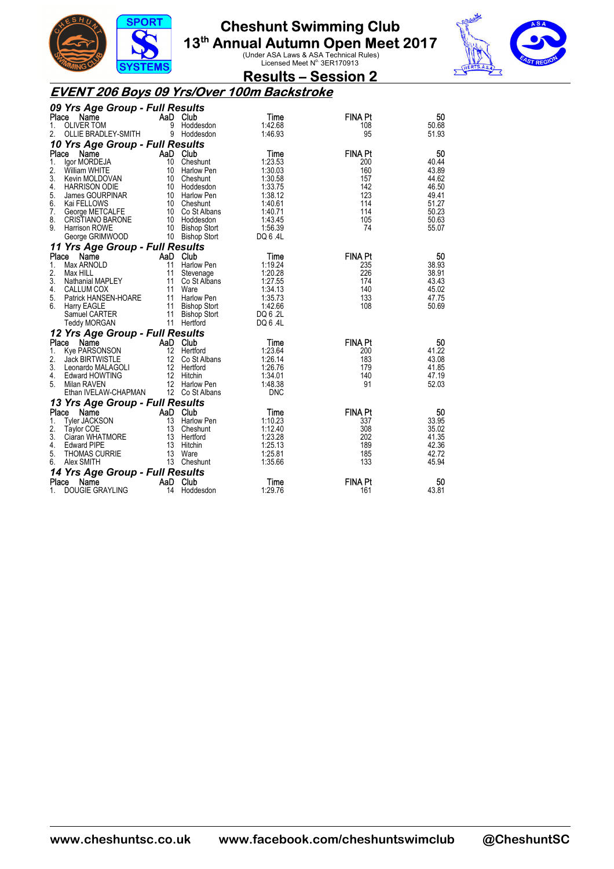



**Results – Session 2** 

#### **EVENT 206 Boys 09 Yrs/Over 100m Backstroke**

|          | 09 Yrs Age Group - Full Results             |                 |                                |                    |                |                |
|----------|---------------------------------------------|-----------------|--------------------------------|--------------------|----------------|----------------|
|          | Place<br>Name                               | AaD Club        |                                | Time               | <b>FINA Pt</b> | 50             |
| 1.       | <b>OLIVER TOM</b>                           | 9               | Hoddesdon                      | 1:42.68            | 108            | 50.68          |
| 2.       | OLLIE BRADLEY-SMITH                         |                 | 9 Hoddesdon                    | 1:46.93            | 95             | 51.93          |
|          | 10 Yrs Age Group - Full Results             |                 |                                |                    |                |                |
| Place    | Name                                        | AaD Club        |                                | Time               | <b>FINA Pt</b> | 50             |
| 1.       | lgor MORDEJA                                | 10 <sup>°</sup> | Cheshunt                       | 1:23.53            | 200            | 40.44          |
| 2.       | William WHITE                               |                 | 10 Harlow Pen                  | 1:30.03            | 160            | 43.89          |
| 3.       | Kevin MOLDOVAN                              |                 | 10 Cheshunt                    | 1:30.58            | 157            | 44.62          |
| 4.<br>5. | <b>HARRISON ODIE</b>                        |                 | 10 Hoddesdon                   | 1:33.75<br>1:38.12 | 142<br>123     | 46.50<br>49.41 |
| 6.       | James GOURPINAR<br>Kai FELLOWS              |                 | 10 Harlow Pen<br>10 Cheshunt   | 1:40.61            | 114            | 51.27          |
| 7.       | George METCALFE                             |                 | 10 Co St Albans                | 1:40.71            | 114            | 50.23          |
| 8.       | <b>CRISTIANO BARONE</b>                     |                 | 10 Hoddesdon                   | 1:43.45            | 105            | 50.63          |
| 9.       | Harrison ROWE                               |                 | 10 Bishop Stort                | 1:56.39            | 74             | 55.07          |
|          | George GRIMWOOD                             |                 | 10 Bishop Stort                | DQ 6.4L            |                |                |
|          | 11 Yrs Age Group - Full Results             |                 |                                |                    |                |                |
| Place    | Name                                        | AaD Club        |                                | Time               | <b>FINA Pt</b> | 50             |
| 1.       | Max ARNOLD                                  | 11              | Harlow Pen                     | 1:19.24            | 235            | 38.93          |
| 2.       | Max HILL                                    | 11              | Stevenage                      | 1:20.28            | 226            | 38.91          |
| 3.       | Nathanial MAPLEY                            |                 | 11 Co St Albans                | 1:27.55            | 174            | 43.43          |
| 4.       | CALLUM COX                                  |                 | 11 Ware                        | 1:34.13            | 140            | 45.02          |
| 5.       | Patrick HANSEN-HOARE                        |                 | 11 Harlow Pen                  | 1:35.73            | 133            | 47.75          |
| 6.       | Harry EAGLE                                 |                 | 11 Bishop Stort                | 1:42.66            | 108            | 50.69          |
|          | Samuel CARTER                               | 11              | <b>Bishop Stort</b>            | DQ 6 .2L           |                |                |
|          | Teddy MORGAN                                |                 | 11 Hertford                    | DQ 6 .4L           |                |                |
|          | 12 Yrs Age Group - Full Results             |                 |                                |                    |                |                |
|          | Place<br>Name                               | AaD Club        |                                | Time               | <b>FINA Pt</b> | 50             |
| 1.<br>2. | Kye PARSONSON                               |                 | 12 Hertford<br>12 Co St Albans | 1:23.64<br>1:26.14 | 200<br>183     | 41.22<br>43.08 |
| 3.       | <b>Jack BIRTWISTLE</b><br>Leonardo MALAGOLI |                 | 12 Hertford                    | 1:26.76            | 179            | 41.85          |
| 4.       | Edward HOWTING                              |                 | 12 Hitchin                     | 1:34.01            | 140            | 47.19          |
| 5.       | Milan RAVEN                                 |                 | 12 Harlow Pen                  | 1:48.38            | 91             | 52.03          |
|          | Ethan IVELAW-CHAPMAN                        |                 | 12 Co St Albans                | <b>DNC</b>         |                |                |
|          | 13 Yrs Age Group - Full Results             |                 |                                |                    |                |                |
| Place    | Name                                        | AaD Club        |                                | Time               | <b>FINA Pt</b> | 50             |
| 1.       | <b>Tyler JACKSON</b>                        | 13              | <b>Harlow Pen</b>              | 1:10.23            | 337            | 33.95          |
| 2.       | Taylor COE                                  |                 | 13 Cheshunt                    | 1:12.40            | 308            | 35.02          |
| 3.       | Ciaran WHATMORE                             |                 | 13 Hertford                    | 1:23.28            | 202            | 41.35          |
| 4.       | <b>Edward PIPE</b>                          |                 | 13 Hitchin                     | 1:25.13            | 189            | 42.36          |
| 5.       | <b>THOMAS CURRIE</b>                        |                 | 13 Ware                        | 1:25.81            | 185            | 42.72          |
| 6.       | Alex SMITH                                  |                 | 13 Cheshunt                    | 1:35.66            | 133            | 45.94          |
|          | 14 Yrs Age Group - Full Results             |                 |                                |                    |                |                |
| Place    | Name                                        | AaD Club        |                                | Time               | <b>FINA Pt</b> | 50             |
| 1.       | <b>DOUGIE GRAYLING</b>                      | 14              | Hoddesdon                      | 1:29.76            | 161            | 43.81          |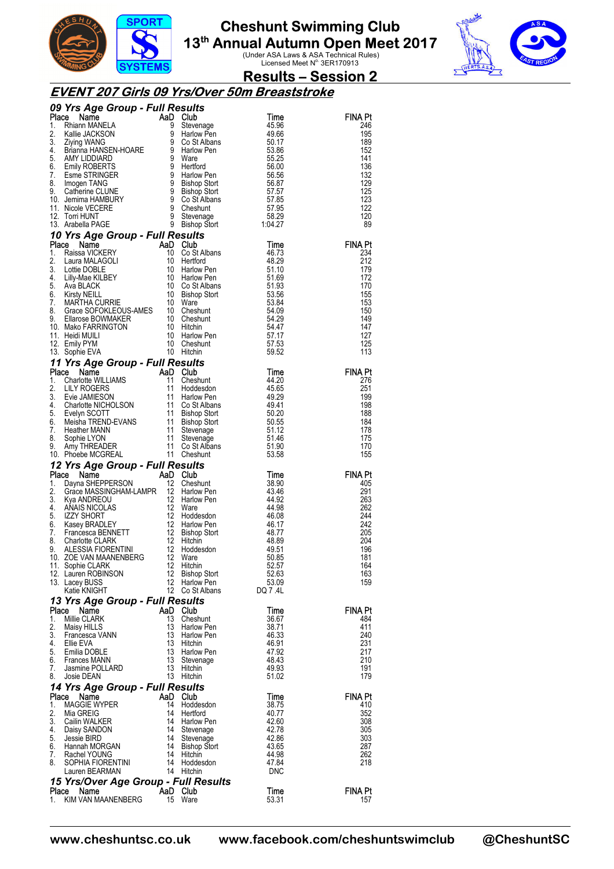



### **Results – Session 2**

#### **EVENT 207 Girls 09 Yrs/Over 50m Breaststroke**

|          |                                                                                                                                                                                                                                                                 |          |                        |                | <b>FINA Pt</b><br>246 |
|----------|-----------------------------------------------------------------------------------------------------------------------------------------------------------------------------------------------------------------------------------------------------------------|----------|------------------------|----------------|-----------------------|
|          |                                                                                                                                                                                                                                                                 |          |                        |                | 195                   |
|          |                                                                                                                                                                                                                                                                 |          |                        |                | 189                   |
|          |                                                                                                                                                                                                                                                                 |          |                        |                | 152                   |
|          |                                                                                                                                                                                                                                                                 |          |                        |                | 141                   |
|          |                                                                                                                                                                                                                                                                 |          |                        |                | 136<br>132            |
|          |                                                                                                                                                                                                                                                                 |          |                        |                | 129                   |
|          |                                                                                                                                                                                                                                                                 |          |                        |                | 125                   |
|          |                                                                                                                                                                                                                                                                 |          |                        |                | 123                   |
|          |                                                                                                                                                                                                                                                                 |          |                        |                | 122                   |
|          |                                                                                                                                                                                                                                                                 |          |                        |                | 120<br>89             |
|          | <b>O9 Yrs Age Group - Full Results<br/> Time<br/> 1.</b> Rhann MANELA<br>1. Rhann MANELA<br>3. Ziying WANG<br>3. Ziying WANG<br>4. Brianna HANSEN-HOARE<br>5. AMY LIDDIARD<br>5. AMY LIDDIARD<br>5. AMY LIDDIARD<br>7. Esme STRINGER<br>8. Imagen TANG<br>8. Im |          |                        |                |                       |
|          |                                                                                                                                                                                                                                                                 |          |                        |                | <b>FINA Pt</b>        |
|          |                                                                                                                                                                                                                                                                 |          |                        |                | 234                   |
|          |                                                                                                                                                                                                                                                                 |          |                        |                | 212                   |
|          |                                                                                                                                                                                                                                                                 |          |                        |                | 179                   |
|          |                                                                                                                                                                                                                                                                 |          |                        |                | 172<br>170            |
|          |                                                                                                                                                                                                                                                                 |          |                        |                | 155                   |
|          |                                                                                                                                                                                                                                                                 |          |                        |                | 153                   |
|          |                                                                                                                                                                                                                                                                 |          |                        |                | 150                   |
|          |                                                                                                                                                                                                                                                                 |          |                        |                | 149                   |
|          |                                                                                                                                                                                                                                                                 |          |                        |                | 147<br>127            |
|          |                                                                                                                                                                                                                                                                 |          |                        |                | 125                   |
|          |                                                                                                                                                                                                                                                                 |          |                        |                | 113                   |
|          |                                                                                                                                                                                                                                                                 |          |                        |                |                       |
|          |                                                                                                                                                                                                                                                                 |          |                        |                | <b>FINA Pt</b>        |
|          |                                                                                                                                                                                                                                                                 |          |                        |                | 276                   |
|          |                                                                                                                                                                                                                                                                 |          |                        |                | 251<br>199            |
|          |                                                                                                                                                                                                                                                                 |          |                        |                | 198                   |
|          |                                                                                                                                                                                                                                                                 |          |                        |                | 188                   |
|          |                                                                                                                                                                                                                                                                 |          |                        |                | 184                   |
|          |                                                                                                                                                                                                                                                                 |          |                        |                | 178                   |
|          |                                                                                                                                                                                                                                                                 |          |                        |                | 175<br>170            |
|          |                                                                                                                                                                                                                                                                 |          |                        |                |                       |
|          |                                                                                                                                                                                                                                                                 |          |                        |                | 155                   |
|          |                                                                                                                                                                                                                                                                 |          |                        |                |                       |
|          |                                                                                                                                                                                                                                                                 |          |                        |                | <b>FINA Pt</b>        |
|          |                                                                                                                                                                                                                                                                 |          |                        |                | 405                   |
|          |                                                                                                                                                                                                                                                                 |          |                        |                | 291                   |
|          |                                                                                                                                                                                                                                                                 |          |                        |                | 263                   |
|          |                                                                                                                                                                                                                                                                 |          |                        |                | 262<br>244            |
|          |                                                                                                                                                                                                                                                                 |          |                        |                | 242                   |
|          |                                                                                                                                                                                                                                                                 |          |                        |                | 205                   |
|          |                                                                                                                                                                                                                                                                 |          |                        |                | 204                   |
|          |                                                                                                                                                                                                                                                                 |          |                        |                | 196<br>181            |
|          |                                                                                                                                                                                                                                                                 |          |                        |                | 164                   |
|          | 12. Lauren ROBINSON                                                                                                                                                                                                                                             |          | 12 Bishop Stort        | 52.63          | 163                   |
|          | 13. Lacey BUSS                                                                                                                                                                                                                                                  | 12       | Harlow Pen             | 53.09          | 159                   |
|          | 12. Tomi-HUNT<br>12. Tomi-HUNT<br>13. Tomi-HUNT<br>13. Tomi-HUNT<br>16. Arabela PAGE 8 Bishop Soft 10.4-27<br>10 Yrs Age Group - Full Results<br>14. Raissa VICKERY 10 Co St Albans<br>1. Clique Soft Coup - Full Results<br>1. Clique Soft EQ<br>Katie KNIGHT  |          | 12 Co St Albans        | DQ 7.4L        |                       |
|          | 13 Yrs Age Group - Full Results<br>Place<br>Name                                                                                                                                                                                                                |          |                        |                | <b>FINA Pt</b>        |
| 1.       | Millie CLARK                                                                                                                                                                                                                                                    | 13       | AaD Club<br>Cheshunt   | Time<br>36.67  | 484                   |
| 2.       | Maisy HILLS                                                                                                                                                                                                                                                     | 13       | Harlow Pen             | 38.71          | 411                   |
| 3.       | Francesca VANN                                                                                                                                                                                                                                                  | 13       | Harlow Pen             | 46.33          | 240                   |
| 4.       | Ellie EVA                                                                                                                                                                                                                                                       | 13       | Hitchin                | 46.91          | 231                   |
| 5.<br>6. | Emilia DOBLE                                                                                                                                                                                                                                                    | 13       | Harlow Pen             | 47.92          | 217                   |
| 7.       | <b>Frances MANN</b><br>Jasmine POLLARD                                                                                                                                                                                                                          | 13<br>13 | Stevenage<br>Hitchin   | 48.43<br>49.93 | 210<br>191            |
| 8.       | Josie DEAN                                                                                                                                                                                                                                                      |          | 13 Hitchin             | 51.02          | 179                   |
|          | 14 Yrs Age Group - Full Results                                                                                                                                                                                                                                 |          |                        |                |                       |
|          | Place<br>Name                                                                                                                                                                                                                                                   |          | AaD Club               | Time           | FINA Pt               |
| 1.       | <b>MAGGIE WYPER</b>                                                                                                                                                                                                                                             | 14<br>14 | Hoddesdon              | 38.75          | 410                   |
| 2.<br>3. | Mia GREIG<br>Cailin WALKER                                                                                                                                                                                                                                      | 14       | Hertford<br>Harlow Pen | 40.77<br>42.60 | 352<br>308            |
| 4.       | Daisy SANDON                                                                                                                                                                                                                                                    | 14       | Stevenage              | 42.78          | 305                   |
| 5.       | Jessie BIRD                                                                                                                                                                                                                                                     | 14       | Stevenage              | 42.86          | 303                   |
| 6.       | Hannah MORGAN                                                                                                                                                                                                                                                   | 14       | <b>Bishop Stort</b>    | 43.65          | 287                   |
| 7.<br>8. | Rachel YOUNG<br>SOPHIA FIORENTINI                                                                                                                                                                                                                               | 14<br>14 | Hitchin<br>Hoddesdon   | 44.98<br>47.84 | 262<br>218            |
|          | Lauren BEARMAN                                                                                                                                                                                                                                                  |          | 14 Hitchin             | <b>DNC</b>     |                       |
|          | 15 Yrs/Over Age Group - Full Results                                                                                                                                                                                                                            |          |                        |                |                       |
| 1.       | Place<br>Name<br>KIM VAN MAANENBERG                                                                                                                                                                                                                             |          | AaD Club<br>15 Ware    | Time<br>53.31  | FINA Pt<br>157        |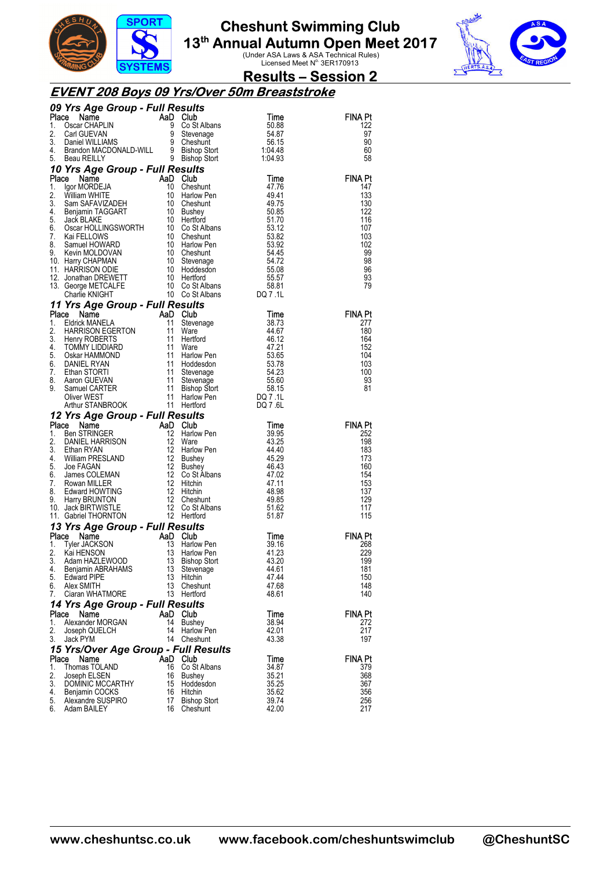



### **Results – Session 2**

#### **EVENT 208 Boys 09 Yrs/Over 50m Breaststroke**

|             | 09 Yrs Age Group - Full Results<br><b>Yrs Age Group - r and Solution Club</b><br>SearchAPLIN 9 Cost Albans<br>Carl GUEVAN 9 Stevenage<br>Daniel WILLIAMS 9 Cheshunt<br>Brandon MACDONALD-WILL 9 Bishop Stort<br>Reau REILLY 9 Bishop Stort<br>The State of Cheshunt<br>The State of     |           |                                                                                        |                                     |                |
|-------------|-----------------------------------------------------------------------------------------------------------------------------------------------------------------------------------------------------------------------------------------------------------------------------------------|-----------|----------------------------------------------------------------------------------------|-------------------------------------|----------------|
| Place       |                                                                                                                                                                                                                                                                                         |           |                                                                                        | Time                                | FINA Pt        |
| 1.          |                                                                                                                                                                                                                                                                                         |           |                                                                                        | 50.88                               | 122            |
| 2.          |                                                                                                                                                                                                                                                                                         |           |                                                                                        | 54.87                               | 97             |
| 3.          |                                                                                                                                                                                                                                                                                         |           |                                                                                        | 56.15<br>1:04.48                    | 90             |
| 4.          |                                                                                                                                                                                                                                                                                         |           |                                                                                        |                                     | 60             |
| 5.          |                                                                                                                                                                                                                                                                                         |           |                                                                                        | 1:04.93                             | 58             |
|             | 10 Yrs Age Group - Full Results                                                                                                                                                                                                                                                         |           |                                                                                        |                                     |                |
|             |                                                                                                                                                                                                                                                                                         |           |                                                                                        | Time                                | <b>FINA Pt</b> |
|             |                                                                                                                                                                                                                                                                                         |           |                                                                                        | 47.76                               | 147            |
|             |                                                                                                                                                                                                                                                                                         |           |                                                                                        | 49.41<br>49.75                      | 133<br>130     |
|             |                                                                                                                                                                                                                                                                                         |           |                                                                                        |                                     | 122            |
|             |                                                                                                                                                                                                                                                                                         |           |                                                                                        | 50.85<br>51.70                      | 116            |
|             |                                                                                                                                                                                                                                                                                         |           |                                                                                        | 53.12                               | 107            |
|             |                                                                                                                                                                                                                                                                                         |           |                                                                                        | 53.82                               | 103            |
|             |                                                                                                                                                                                                                                                                                         |           |                                                                                        | 53.92                               | 102            |
|             |                                                                                                                                                                                                                                                                                         |           |                                                                                        | 54.45                               | 99             |
|             |                                                                                                                                                                                                                                                                                         |           |                                                                                        | 54.72                               | 98             |
|             |                                                                                                                                                                                                                                                                                         |           |                                                                                        |                                     | 96             |
|             |                                                                                                                                                                                                                                                                                         |           |                                                                                        |                                     | 93             |
|             |                                                                                                                                                                                                                                                                                         |           |                                                                                        |                                     | 79             |
|             | <b>10 Yrs Age Group - Full Results<br/> Place Name AaD Club<br/> 1. Igor MORDEJA 10 Cheshunt<br/> 2. William WHITE<br/> 2. William WHITE<br/> 3. Sam SAFAVIZADEH 10 Cheshunt<br/> 4. Benjamin TAGGART 10 Bushey<br/> 5. Jack BLAKE 10 Hertford<br/> 6. Oscar HOL</b>                    |           |                                                                                        | 55.08<br>55.57<br>58.81<br>DQ 7 .1L |                |
|             | 11 Yrs Age Group - Full Results                                                                                                                                                                                                                                                         |           |                                                                                        |                                     |                |
| Place       |                                                                                                                                                                                                                                                                                         |           |                                                                                        | Time                                | FINA Pt        |
| 1.          |                                                                                                                                                                                                                                                                                         |           | Stevenage                                                                              | 38.73                               | 277            |
| 2.          |                                                                                                                                                                                                                                                                                         |           |                                                                                        | 44.67                               | 180            |
| 3.<br>4.    |                                                                                                                                                                                                                                                                                         |           |                                                                                        | 46.12<br>47.21                      | 164<br>152     |
| 5.          |                                                                                                                                                                                                                                                                                         |           |                                                                                        | 53.65                               | 104            |
| 6.          |                                                                                                                                                                                                                                                                                         |           |                                                                                        | 53.78                               | 103            |
| 7.          |                                                                                                                                                                                                                                                                                         |           |                                                                                        | 54.23                               | 100            |
| 8.          |                                                                                                                                                                                                                                                                                         |           |                                                                                        | 55.60                               | 93             |
| 9.          |                                                                                                                                                                                                                                                                                         |           |                                                                                        | 58.15                               | 81             |
|             |                                                                                                                                                                                                                                                                                         |           | 11 Stevenage<br>11 Stevenage<br>11 Bishop Stort<br>11 Harlow Pen<br>11 Harlow Pen<br>5 | DQ 7.1L                             |                |
|             |                                                                                                                                                                                                                                                                                         |           |                                                                                        |                                     |                |
|             |                                                                                                                                                                                                                                                                                         |           |                                                                                        | DQ 7.6L                             |                |
|             | Triangle Company of The MANELA<br>Edition: MANELA HARNESON EGERTON<br>HARNESON EGERTON 11 Stevenage<br>HARNESON EGERTON 11 Ware<br>HARNESON EGERTON 11 Ware<br>OSkar HAMMOND 11 Harlow Pen<br>OSkar HAMMOND 11 Hotel<br>Samuel CARTER 11 Ste<br>12 Yrs Age Group - Full Results         |           |                                                                                        |                                     |                |
|             |                                                                                                                                                                                                                                                                                         |           |                                                                                        | Time                                | FINA Pt        |
|             |                                                                                                                                                                                                                                                                                         |           | Harlow Pen                                                                             | 39.95                               | 252            |
|             |                                                                                                                                                                                                                                                                                         |           |                                                                                        | 43.25                               | 198            |
|             |                                                                                                                                                                                                                                                                                         |           |                                                                                        | 44.40                               | 183            |
|             |                                                                                                                                                                                                                                                                                         |           |                                                                                        | 45.29                               | 173            |
|             |                                                                                                                                                                                                                                                                                         |           |                                                                                        | 46.43                               | 160            |
|             |                                                                                                                                                                                                                                                                                         |           |                                                                                        | 47.02                               | 154            |
|             |                                                                                                                                                                                                                                                                                         |           |                                                                                        | 47.11<br>48.98                      | 153<br>137     |
|             |                                                                                                                                                                                                                                                                                         |           |                                                                                        | 49.85                               | 129            |
|             |                                                                                                                                                                                                                                                                                         |           |                                                                                        | 51.62                               | 117            |
|             |                                                                                                                                                                                                                                                                                         |           |                                                                                        | 51.87                               | 115            |
|             | <b>Place Name AD Club</b><br>1. Ben STRINGER AD Club<br>1. Ben STRINGER 12 Harlow Pen<br>2. DANIEL HARRISON 12 Ware<br>4. William PRESLAND 12 Bushey<br>5. Joe FAGAN 12 Bushey<br>6. James COLEMAN 12 Co St Albans<br>7. Rowan MILLER 12 Hitchin<br><br>13 Yrs Age Group - Full Results |           |                                                                                        |                                     |                |
|             | Place<br>Name                                                                                                                                                                                                                                                                           | AaD       | Club                                                                                   | Time                                | FINA Pt        |
| 1.          | Tyler JACKSON                                                                                                                                                                                                                                                                           | 13        | Harlow Pen                                                                             | 39.16                               | 268            |
| 2.          | Kai HENSON                                                                                                                                                                                                                                                                              | 13        | Harlow Pen                                                                             | 41.23                               | 229            |
| 3.          | Adam HAZLEWOOD                                                                                                                                                                                                                                                                          | 13        | <b>Bishop Stort</b>                                                                    | 43.20                               | 199            |
| 4.          | Benjamin ABRAHAMS                                                                                                                                                                                                                                                                       | 13        | Stevenage                                                                              | 44.61                               | 181            |
| 5.          | <b>Edward PIPE</b>                                                                                                                                                                                                                                                                      | 13        | Hitchin                                                                                | 47.44                               | 150            |
| 6.<br>7.    | Alex SMITH<br>Ciaran WHATMORE                                                                                                                                                                                                                                                           | 13<br>13  | Cheshunt<br>Hertford                                                                   | 47.68<br>48.61                      | 148<br>140     |
|             |                                                                                                                                                                                                                                                                                         |           |                                                                                        |                                     |                |
|             | 14 Yrs Age Group - Full Results                                                                                                                                                                                                                                                         |           |                                                                                        |                                     |                |
| Place<br>1. | Name<br>Alexander MORGAN                                                                                                                                                                                                                                                                | AaD<br>14 | Club                                                                                   | Time                                | FINA Pt<br>272 |
| 2.          | Joseph QUELCH                                                                                                                                                                                                                                                                           | 14        | Bushey<br>Harlow Pen                                                                   | 38.94<br>42.01                      | 217            |
| 3.          | Jack PYM                                                                                                                                                                                                                                                                                | 14        | Cheshunt                                                                               | 43.38                               | 197            |
|             |                                                                                                                                                                                                                                                                                         |           |                                                                                        |                                     |                |
| Place       | 15 Yrs/Over Age Group - Full Results<br>Name                                                                                                                                                                                                                                            | AaD       | Club                                                                                   | Time                                | <b>FINA Pt</b> |
| 1.          | Thomas TOLAND                                                                                                                                                                                                                                                                           | 16        | Co St Albans                                                                           | 34.87                               | 379            |
| 2.          | Joseph ELSEN                                                                                                                                                                                                                                                                            | 16        | <b>Bushey</b>                                                                          | 35.21                               | 368            |
| 3.          | DOMINIC MCCARTHY                                                                                                                                                                                                                                                                        | 15        | Hoddesdon                                                                              | 35.25                               | 367            |
| 4.          | Benjamin COCKS                                                                                                                                                                                                                                                                          | 16        | Hitchin                                                                                | 35.62                               | 356            |
| 5.<br>6.    | Alexandre SUSPIRO<br>Adam BAILEY                                                                                                                                                                                                                                                        | 17<br>16  | <b>Bishop Stort</b><br>Cheshunt                                                        | 39.74<br>42.00                      | 256<br>217     |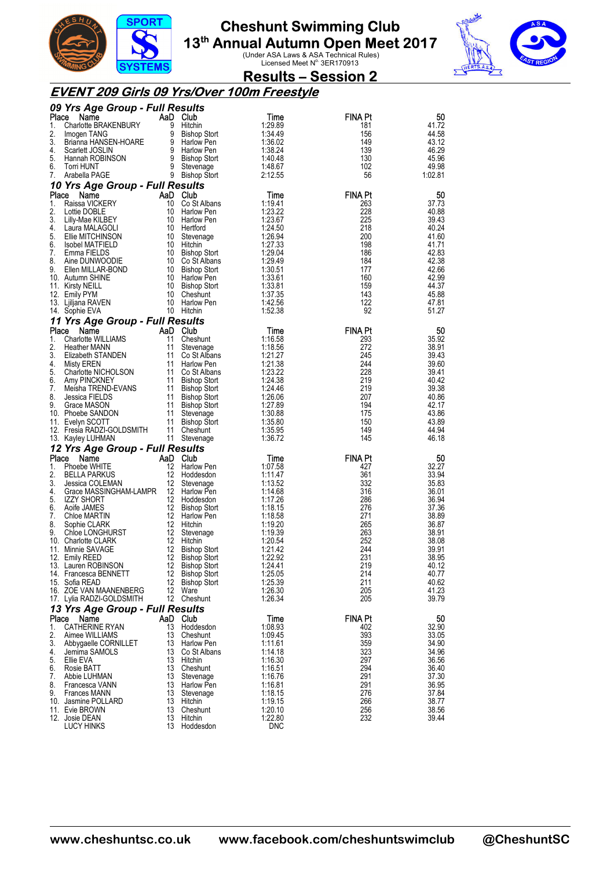



**Results – Session 2** 

#### **EVENT 209 Girls 09 Yrs/Over 100m Freestyle**

|          | 09 Yrs Age Group - Full Results              |             |                                            |                    |                |                |
|----------|----------------------------------------------|-------------|--------------------------------------------|--------------------|----------------|----------------|
| Place    | Name                                         | AaD Club    |                                            | Time               | FINA Pt        | 50             |
| 1.       | Charlotte BRAKENBURY                         |             | 9 Hitchin                                  | 1:29.89            | 181            | 41.72          |
| 2.       | Imogen TANG                                  |             | 9 Bishop Stort                             | 1:34.49            | 156            | 44.58          |
| 3.<br>4. | Brianna HANSEN-HOARE                         |             | 9 Harlow Pen<br>9 Harlow Pen               | 1:36.02<br>1:38.24 | 149<br>139     | 43.12<br>46.29 |
| 5.       | Scarlett JOSLIN<br>Hannah ROBINSON           |             | 9 Bishop Stort                             | 1:40.48            | 130            | 45.96          |
| 6.       | Torri HUNT                                   |             | 9 Stevenage                                | 1:48.67            | 102            | 49.98          |
| 7.       | Arabella PAGE                                |             | 9 Bishop Stort                             | 2:12.55            | 56             | 1:02.81        |
|          | 10 Yrs Age Group - Full Results              |             |                                            |                    |                |                |
| Place    | Name                                         | AaD Club    |                                            | Time               | <b>FINA Pt</b> | 50             |
| 1.       | Raissa VICKERY                               | 10          | Co St Albans                               | 1:19.41            | 263            | 37.73          |
| 2.       | Lottie DOBLE                                 | 10          | Harlow Pen                                 | 1:23.22            | 228            | 40.88          |
| 3.       | Lilly-Mae KILBEY                             |             | 10 Harlow Pen                              | 1:23.67            | 225            | 39.43          |
| 4.       | Laura MALAGOLI                               | 10 Hertford |                                            | 1:24.50            | 218            | 40.24          |
| 5.       | Ellie MITCHINSON                             |             | 10 Stevenage                               | 1:26.94            | 200            | 41.60          |
| 6.<br>7. | <b>Isobel MATFIELD</b><br>Emma FIELDS        | 10 Hitchin  | 10 Bishop Stort                            | 1:27.33<br>1:29.04 | 198<br>186     | 41.71<br>42.83 |
| 8.       | Aine DUNWOODIE                               |             | 10 Co St Albans                            | 1:29.49            | 184            | 42.38          |
| 9.       | Ellen MILLAR-BOND                            |             | 10 Bishop Stort                            | 1:30.51            | 177            | 42.66          |
|          | 10. Autumn SHINE                             |             | 10 Harlow Pen                              | 1:33.61            | 160            | 42.99          |
|          | 11. Kirsty NEILL                             |             | 10 Bishop Stort                            | 1:33.81            | 159            | 44.37          |
|          | 12. Emily PYM                                |             | 10 Cheshunt                                | 1:37.35            | 143            | 45.88          |
|          | 13. Ljiljana RAVEN                           |             | 10 Harlow Pen                              | 1:42.56            | 122            | 47.81          |
|          | 14. Sophie EVA                               | 10 Hitchin  |                                            | 1:52.38            | 92             | 51.27          |
|          | 11 Yrs Age Group - Full Results              |             |                                            |                    |                |                |
| Place    | Name                                         | AaD Club    |                                            | Time               | <b>FINA Pt</b> | 50             |
| 1.       | Charlotte WILLIAMS                           | 11          | Cheshunt                                   | 1:16.58            | 293            | 35.92          |
| 2.       | Heather MANN                                 | 11          | Stevenage                                  | 1:18.56            | 272            | 38.91          |
| 3.       | Elizabeth STANDEN                            | 11          | Co St Albans                               | 1:21.27            | 245<br>244     | 39.43          |
| 4.<br>5. | Misty EREN<br>Charlotte NICHOLSON            | 11          | Harlow Pen<br>11 Co St Albans              | 1:21.38<br>1:23.22 | 228            | 39.60<br>39.41 |
| 6.       | Amy PINCKNEY                                 |             | 11 Bishop Stort                            | 1:24.38            | 219            | 40.42          |
| 7.       | Meisha TREND-EVANS                           |             | 11 Bishop Stort                            | 1:24.46            | 219            | 39.38          |
| 8.       | Jessica FIELDS                               |             | 11 Bishop Stort                            | 1:26.06            | 207            | 40.86          |
| 9.       | Grace MASON                                  |             | 11 Bishop Stort                            | 1:27.89            | 194            | 42.17          |
|          |                                              |             |                                            |                    |                |                |
|          | 10. Phoebe SANDON                            | 11          | Stevenage                                  | 1:30.88            | 175            | 43.86          |
|          | 11. Evelyn SCOTT                             |             | 11 Bishop Stort                            | 1:35.80            | 150            | 43.89          |
|          | 12. Fresia RADZI-GOLDSMITH                   |             | 11 Cheshunt                                | 1:35.95            | 149            | 44.94          |
|          | 13. Kayley LUHMAN                            |             | 11 Stevenage                               | 1:36.72            | 145            | 46.18          |
|          | 12 Yrs Age Group - Full Results              |             |                                            |                    |                |                |
| Place    | Name                                         | AaD Club    |                                            | Time               | <b>FINA Pt</b> | 50             |
| 1.       | Phoebe WHITE                                 | 12          | Harlow Pen                                 | 1:07.58            | 427            | 32.27          |
| 2.       | <b>BELLA PARKUS</b>                          | 12          | Hoddesdon                                  | 1:11.47            | 361            | 33.94          |
| 3.       | Jessica COLEMAN                              | 12          | Stevenage                                  | 1:13.52            | 332            | 35.83          |
| 4.<br>5. | Grace MASSINGHAM-LAMPR<br><b>IZZY SHORT</b>  | 12<br>12    | Harlow Pen                                 | 1:14.68<br>1:17.26 | 316            | 36.01          |
| 6.       | Aoife JAMES                                  | 12          | Hoddesdon<br><b>Bishop Stort</b>           | 1:18.15            | 286<br>276     | 36.94<br>37.36 |
| 7.       | Chloe MARTIN                                 |             | 12 Harlow Pen                              | 1:18.58            | 271            | 38.89          |
| 8.       | Sophie CLARK                                 | 12          | Hitchin                                    | 1:19.20            | 265            | 36.87          |
| 9.       | Chloe LONGHURST                              | 12          | Stevenage                                  | 1:19.39            | 263            | 38.91          |
|          | 10. Charlotte CLARK                          | 12          | Hitchin                                    | 1:20.54            | 252            | 38.08          |
|          | 11. Minnie SAVAGE                            | 12          | Bishop Stort                               | 1:21.42            | 244            | 39.91          |
|          | 12. Emily REED                               | 12          | <b>Bishop Stort</b>                        | 1:22.92            | 231            | 38.95          |
|          | 13. Lauren ROBINSON<br>14. Francesca BENNETT | 12<br>12    | <b>Bishop Stort</b>                        | 1:24.41            | 219            | 40.12          |
|          | 15. Sofia READ                               | 12          | <b>Bishop Stort</b><br><b>Bishop Stort</b> | 1:25.05<br>1:25.39 | 214<br>211     | 40.77<br>40.62 |
|          | 16. ZOE VAN MAANENBERG                       | 12          | Ware                                       | 1:26.30            | 205            | 41.23          |
|          | 17. Lylia RADZI-GOLDSMITH                    |             | 12 Cheshunt                                | 1:26.34            | 205            | 39.79          |
|          | 13 Yrs Age Group - Full Results              |             |                                            |                    |                |                |
| Place    | Name                                         | AaD Club    |                                            | Time               | <b>FINA Pt</b> | 50             |
| 1.       | <b>CATHERINE RYAN</b>                        | 13          | Hoddesdon                                  | 1:08.93            | 402            | 32.90          |
| 2.       | Aimee WILLIAMS                               | 13          | Cheshunt                                   | 1:09.45            | 393            | 33.05          |
| 3.       | Abbygaelle CORNILLET                         | 13          | Harlow Pen                                 | 1:11.61            | 359            | 34.90          |
| 4.       | Jemima SAMOLS                                | 13          | Co St Albans                               | 1:14.18            | 323            | 34.96          |
| 5.       | Ellie EVA                                    | 13 Hitchin  |                                            | 1:16.30            | 297            | 36.56          |
| 6.<br>7. | Rosie BATT<br>Abbie LUHMAN                   | 13<br>13    | Cheshunt                                   | 1:16.51            | 294<br>291     | 36.40          |
| 8.       | Francesca VANN                               | 13          | Stevenage<br>Harlow Pen                    | 1:16.76<br>1:16.81 | 291            | 37.30<br>36.95 |
| 9.       | <b>Frances MANN</b>                          | 13          | Stevenage                                  | 1:18.15            | 276            | 37.84          |
|          | 10. Jasmine POLLARD                          | 13          | Hitchin                                    | 1:19.15            | 266            | 38.77          |
|          | 11. Evie BROWN                               | 13          | Cheshunt                                   | 1:20.10            | 256            | 38.56          |
|          | 12. Josie DEAN<br>LUCY HINKS                 | 13<br>13    | Hitchin<br>Hoddesdon                       | 1:22.80<br>DNC     | 232            | 39.44          |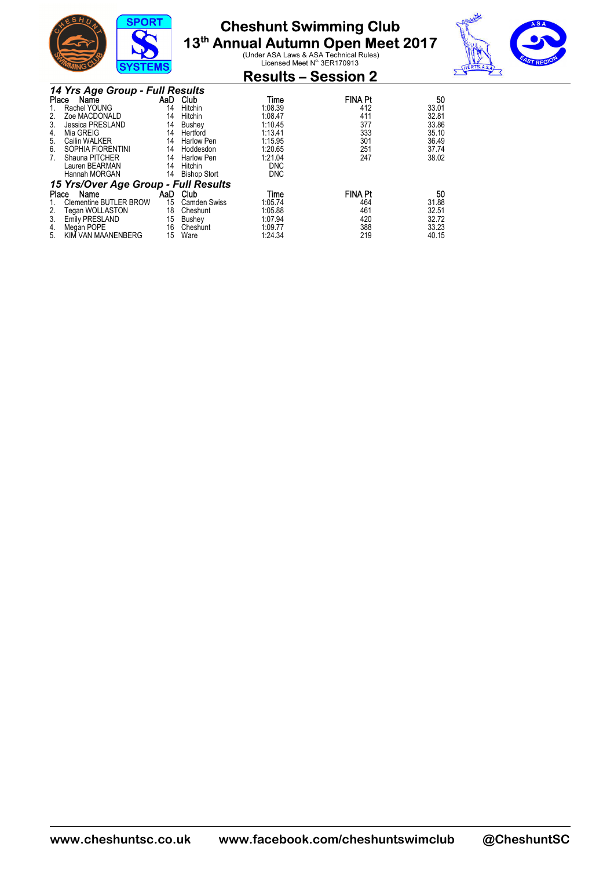

# **Cheshunt Swimming Club**

**13<sup>th</sup> Annual Autumn Open Meet 2017**<br>Under ASA Laws & ASA Technical Rules)<br>Licensed Meet N<sup>o.</sup> 3ER170913



| שווויש<br><b>9191EM9</b>                                                                                                                                                                                             |                                                     |                                                                                                      |                                                                                                 | <b>Results – Session 2</b>                                      |                                                                   |  |
|----------------------------------------------------------------------------------------------------------------------------------------------------------------------------------------------------------------------|-----------------------------------------------------|------------------------------------------------------------------------------------------------------|-------------------------------------------------------------------------------------------------|-----------------------------------------------------------------|-------------------------------------------------------------------|--|
| 14 Yrs Age Group - Full Results<br>Name<br>Place<br>Rachel YOUNG<br>Zoe MACDONALD<br>Jessica PRESLAND<br>3.<br>Mia GREIG<br>4.<br>Cailin WALKER<br>5.<br>SOPHIA FIORENTINI<br>6.<br>Shauna PITCHER<br>Lauren BEARMAN | AaD<br>14<br>14<br>14<br>14<br>14<br>14<br>14<br>14 | Club<br>Hitchin<br>Hitchin<br>Bushey<br>Hertford<br>Harlow Pen<br>Hoddesdon<br>Harlow Pen<br>Hitchin | Time<br>1:08.39<br>1:08.47<br>1:10.45<br>1:13.41<br>1:15.95<br>1:20.65<br>1:21.04<br><b>DNC</b> | <b>FINA Pt</b><br>412<br>411<br>377<br>333<br>301<br>251<br>247 | 50<br>33.01<br>32.81<br>33.86<br>35.10<br>36.49<br>37.74<br>38.02 |  |
| Hannah MORGAN                                                                                                                                                                                                        | 14                                                  | <b>Bishop Stort</b>                                                                                  | <b>DNC</b>                                                                                      |                                                                 |                                                                   |  |
| 15 Yrs/Over Age Group - Full Results<br>Place<br>Name<br><b>Clementine BUTLER BROW</b><br>Tegan WOLLASTON<br>2.<br>3.<br><b>Emily PRESLAND</b><br>Megan POPE<br>4.                                                   | AaD<br>15<br>18<br>15<br>16                         | Club<br><b>Camden Swiss</b><br>Cheshunt<br>Bushey<br>Cheshunt                                        | Time<br>1:05.74<br>1:05.88<br>1:07.94<br>1:09.77                                                | <b>FINA Pt</b><br>464<br>461<br>420<br>388                      | 50<br>31.88<br>32.51<br>32.72<br>33.23                            |  |
| KIM VAN MAANENBERG<br>5.                                                                                                                                                                                             | 15                                                  | Ware                                                                                                 | 1:24.34                                                                                         | 219                                                             | 40.15                                                             |  |

**www.cheshuntsc.co.uk www.facebook.com/cheshuntswimclub @CheshuntSC**